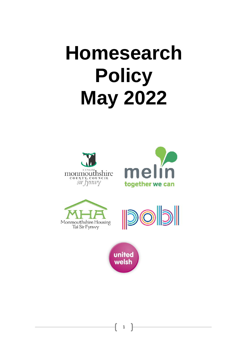# **Homesearch Policy May 2022**









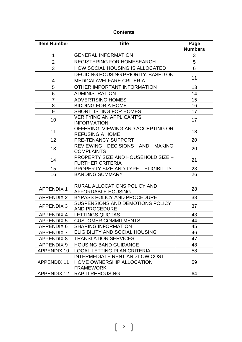# **Contents**

| <b>Item Number</b><br><b>Title</b> |                                                                                        | Page<br><b>Numbers</b> |  |  |
|------------------------------------|----------------------------------------------------------------------------------------|------------------------|--|--|
| 1                                  | <b>GENERAL INFORMATION</b>                                                             |                        |  |  |
| $\overline{2}$                     | <b>REGISTERING FOR HOMESEARCH</b>                                                      |                        |  |  |
| 3                                  | HOW SOCIAL HOUSING IS ALLOCATED                                                        | 6                      |  |  |
|                                    | DECIDING HOUSING PRIORITY, BASED ON                                                    |                        |  |  |
| 4                                  | 11                                                                                     |                        |  |  |
| 5                                  | OTHER IMPORTANT INFORMATION                                                            | 13                     |  |  |
| 6                                  | <b>ADMINISTRATION</b>                                                                  | 14                     |  |  |
| $\overline{7}$                     | <b>ADVERTISING HOMES</b>                                                               | 15                     |  |  |
| 8                                  | <b>BIDDING FOR A HOME</b>                                                              | 16                     |  |  |
| 9                                  | <b>SHORTLISTING FOR HOMES</b>                                                          | 17                     |  |  |
| 10                                 | <b>VERIFYING AN APPLICANT'S</b><br><b>INFORMATION</b>                                  | 17                     |  |  |
| 11                                 | OFFERING, VIEWING AND ACCEPTING OR<br><b>REFUSING A HOME</b>                           | 18                     |  |  |
| 12                                 | PRE-TENANCY SUPPORT                                                                    | 20                     |  |  |
| 13                                 | 20                                                                                     |                        |  |  |
| 14                                 | <b>COMPLAINTS</b><br>PROPERTY SIZE AND HOUSEHOLD SIZE -<br><b>FURTHER CRITERIA</b>     |                        |  |  |
| 15                                 | PROPERTY SIZE AND TYPE - ELIGIBILITY                                                   | 23                     |  |  |
| 16                                 | <b>BANDING SUMMARY</b>                                                                 |                        |  |  |
|                                    |                                                                                        |                        |  |  |
| <b>APPENDIX 1</b>                  | RURAL ALLOCATIONS POLICY AND<br><b>AFFORDABLE HOUSING</b>                              | 28                     |  |  |
| <b>APPENDIX 2</b>                  | <b>BYPASS POLICY AND PROCEDURE</b>                                                     | 33                     |  |  |
| <b>APPENDIX 3</b>                  | SUSPENSIONS AND DEMOTIONS POLICY<br><b>AND PROCEDURE</b>                               | 37                     |  |  |
| <b>APPENDIX 4</b>                  | <b>LETTINGS QUOTAS</b>                                                                 | 43                     |  |  |
| <b>APPENDIX 5</b>                  | <b>CUSTOMER COMMITMENTS</b>                                                            | 44                     |  |  |
| <b>APPENDIX 6</b>                  | <b>SHARING INFORMATION</b>                                                             | 45                     |  |  |
| <b>APPENDIX 7</b>                  | ELIGIBILITY AND SOCIAL HOUSING                                                         | 46                     |  |  |
| <b>APPENDIX 8</b>                  | <b>TRANSLATION SERVICES</b>                                                            | 47                     |  |  |
| <b>APPENDIX 9</b>                  | <b>HOUSING BAND GUIDANCE</b>                                                           | 48                     |  |  |
| <b>APPENDIX 10</b>                 | <b>LOCAL LETTING PLAN CRITERIA</b>                                                     | 58                     |  |  |
| <b>APPENDIX 11</b>                 | <b>INTERMEDIATE RENT AND LOW COST</b><br>HOME OWNERSHIP ALLOCATION<br><b>FRAMEWORK</b> | 59                     |  |  |
| <b>APPENDIX 12</b>                 | <b>RAPID REHOUSING</b>                                                                 | 64                     |  |  |

 $\begin{bmatrix} 2 \end{bmatrix}$ 

 $\mathbf{f}$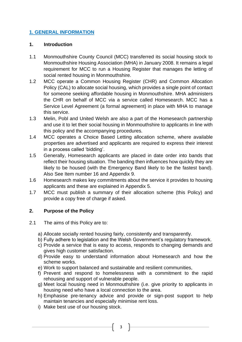# **1. GENERAL INFORMATION**

#### **1. Introduction**

- 1.1 Monmouthshire County Council (MCC) transferred its social housing stock to Monmouthshire Housing Association (MHA) in January 2008. It remains a legal requirement for MCC to run a Housing Register that manages the letting of social rented housing in Monmouthshire.
- 1.2 MCC operate a Common Housing Register (CHR) and Common Allocation Policy (CAL) to allocate social housing, which provides a single point of contact for someone seeking affordable housing in Monmouthshire. MHA administers the CHR on behalf of MCC via a service called Homesearch. MCC has a Service Level Agreement (a formal agreement) in place with MHA to manage this service.
- 1.3 Melin, Pobl and United Welsh are also a part of the Homesearch partnership and use it to let their social housing in Monmouthshire to applicants in line with this policy and the accompanying procedures.
- 1.4 MCC operates a Choice Based Letting allocation scheme, where available properties are advertised and applicants are required to express their interest in a process called 'bidding'.
- 1.5 Generally, Homesearch applicants are placed in date order into bands that reflect their housing situation. The banding then influences how quickly they are likely to be housed (with the Emergency Band likely to be the fastest band). Also See Item number 16 and Appendix 9.
- 1.6 Homesearch makes key commitments about the service it provides to housing applicants and these are explained in Appendix 5.
- 1.7 MCC must publish a summary of their allocation scheme (this Policy) and provide a copy free of charge if asked.

# **2. Purpose of the Policy**

- 2.1 The aims of this Policy are to:
	- a) Allocate socially rented housing fairly, consistently and transparently.
	- b) Fully adhere to legislation and the Welsh Government's regulatory framework.
	- c) Provide a service that is easy to access, responds to changing demands and gives high customer satisfaction.
	- d) Provide easy to understand information about Homesearch and how the scheme works.
	- e) Work to support balanced and sustainable and resilient communities,
	- f) Prevent and respond to homelessness with a commitment to the rapid rehousing and support of vulnerable people.
	- g) Meet local housing need in Monmouthshire (i.e. give priority to applicants in housing need who have a local connection to the area.
	- h) Emphasise pre-tenancy advice and provide or sign-post support to help maintain tenancies and especially minimise rent loss.

3

i) Make best use of our housing stock.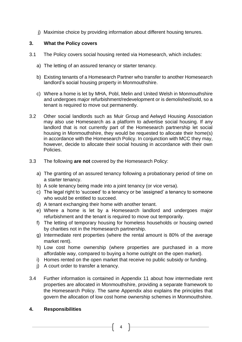j) Maximise choice by providing information about different housing tenures.

## **3. What the Policy covers**

- 3.1 The Policy covers social housing rented via Homesearch, which includes:
	- a) The letting of an assured tenancy or starter tenancy.
	- b) Existing tenants of a Homesearch Partner who transfer to another Homesearch landlord's social housing property in Monmouthshire.
	- c) Where a home is let by MHA, Pobl, Melin and United Welsh in Monmouthshire and undergoes major refurbishment/redevelopment or is demolished/sold, so a tenant is required to move out permanently.
- 3.2 Other social landlords such as Muir Group and Aelwyd Housing Association may also use Homesearch as a platform to advertise social housing. If any landlord that is not currently part of the Homesearch partnership let social housing in Monmouthshire, they would be requested to allocate their home(s) in accordance with the Homesearch Policy. In conjunction with MCC they may, however, decide to allocate their social housing in accordance with their own Policies.
- 3.3 The following **are not** covered by the Homesearch Policy:
	- a) The granting of an assured tenancy following a probationary period of time on a starter tenancy.
	- b) A sole tenancy being made into a joint tenancy (or vice versa).
	- c) The legal right to 'succeed' to a tenancy or be 'assigned' a tenancy to someone who would be entitled to succeed.
	- d) A tenant exchanging their home with another tenant.
	- e) Where a home is let by a Homesearch landlord and undergoes major refurbishment and the tenant is required to move out temporarily.
	- f) The letting of temporary housing for homeless households or housing owned by charities not in the Homesearch partnership.
	- g) Intermediate rent properties (where the rental amount is 80% of the average market rent).
	- h) Low cost home ownership (where properties are purchased in a more affordable way, compared to buying a home outright on the open market).
	- i) Homes rented on the open market that receive no public subsidy or funding.
	- j) A court order to transfer a tenancy.
- 3.4 Further information is contained in Appendix 11 about how intermediate rent properties are allocated in Monmouthshire, providing a separate framework to the Homesearch Policy. The same Appendix also explains the principles that govern the allocation of low cost home ownership schemes in Monmouthshire.

# **4. Responsibilities**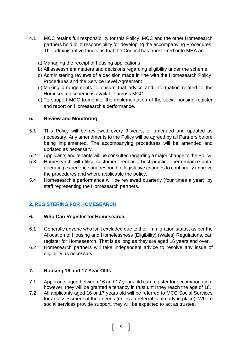- 4.1 MCC retains full responsibility for this Policy. MCC and the other Homesearch partners hold joint responsibility for developing the accompanying Procedures. The administrative functions that the Council has transferred onto MHA are:
	- a) Managing the receipt of housing applications
	- b) All assessment matters and decisions regarding eligibility under the scheme
	- c) Administering reviews of a decision made in line with the Homesearch Policy, Procedures and the Service Level Agreement.
	- d) Making arrangements to ensure that advice and information related to the Homesearch scheme is available across MCC.
	- e) To support MCC to monitor the implementation of the social housing register and report on Homesearch's performance.

# **5. Review and Monitoring**

- 5.1 This Policy will be reviewed every 3 years, or amended and updated as necessary. Any amendments to the Policy will be agreed by all Partners before being implemented. The accompanying procedures will be amended and updated as necessary.
- 5.2 Applicants and tenants will be consulted regarding a major change to the Policy.
- 5.3 Homesearch will utilise customer feedback, best practice, performance data, operating experience and respond to legislative changes to continually improve the procedures and where applicable the policy.
- 5.4 Homesearch's performance will be reviewed quarterly (four times a year), by staff representing the Homesearch partners.

# **2. REGISTERING FOR HOMESEARCH**

# **6. Who Can Register for Homesearch**

- 6.1 Generally anyone who isn't excluded due to their immigration status, as per the Allocation of Housing and Homelessness (Eligibility) (Wales) Regulations, can register for Homesearch. That is as long as they are aged 16 years and over.
- 6.2 Homesearch partners will take independent advice to resolve any issue of eligibility as necessary.

# **7. Housing 16 and 17 Year Olds**

- 7.1 Applicants aged between 16 and 17 years old can register for accommodation, however, they will be granted a tenancy in trust until they reach the age of 18.
- 7.2 All applicants aged 16 or 17 years old will be referred to MCC Social Services for an assessment of their needs (unless a referral is already in place). Where social services provide support, they will be expected to act as trustee.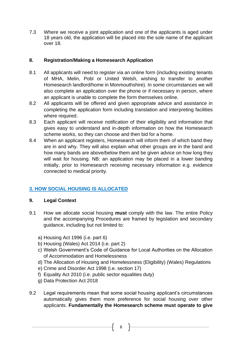7.3 Where we receive a joint application and one of the applicants is aged under 18 years old, the application will be placed into the sole name of the applicant over 18.

# **8. Registration/Making a Homesearch Application**

- 8.1 All applicants will need to register via an online form (including existing tenants of MHA, Melin, Pobl or United Welsh, wishing to transfer to another Homesearch landlord/home in Monmouthshire). In some circumstances we will also complete an application over the phone or if necessary in person, where an applicant is unable to complete the form themselves online.
- 8.2 All applicants will be offered and given appropriate advice and assistance in completing the application form including translation and interpreting facilities where required.
- 8.3 Each applicant will receive notification of their eligibility and information that gives easy to understand and in-depth information on how the Homesearch scheme works, so they can choose and then bid for a home.
- 8.4 When an applicant registers, Homesearch will inform them of which band they are in and why. They will also explain what other groups are in the band and how many bands are above/below them and be given advice on how long they will wait for housing. NB: an application may be placed in a lower banding initially, prior to Homesearch receiving necessary information e.g. evidence connected to medical priority.

# **3. HOW SOCIAL HOUSING IS ALLOCATED**

# **9. Legal Context**

- 9.1 How we allocate social housing **must** comply with the law. The entire Policy and the accompanying Procedures are framed by legislation and secondary guidance, including but not limited to:
	- a) Housing Act 1996 (i.e. part 6)
	- b) Housing (Wales) Act 2014 (i.e. part 2)
	- c) Welsh Government's Code of Guidance for Local Authorities on the Allocation of Accommodation and Homelessness
	- d) The Allocation of Housing and Homelessness (Eligibility) (Wales) Regulations
	- e) Crime and Disorder Act 1998 (i.e. section 17)
	- f) Equality Act 2010 (i.e. public sector equalities duty)
	- g) Data Protection Act 2018
- 9.2 Legal requirements mean that some social housing applicant's circumstances automatically gives them more preference for social housing over other applicants. **Fundamentally the Homesearch scheme must operate to give**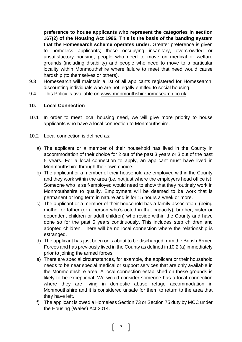**preference to house applicants who represent the categories in section 167(2) of the Housing Act 1996. This is the basis of the banding system that the Homesearch scheme operates under.** Greater preference is given to homeless applicants; those occupying insanitary, overcrowded or unsatisfactory housing; people who need to move on medical or welfare grounds (including disability) and people who need to move to a particular locality within Monmouthshire where failure to meet that need would cause hardship (to themselves or others).

- 9.3 Homesearch will maintain a list of all applicants registered for Homesearch, discounting individuals who are not legally entitled to social housing.
- 9.4 This Policy is available on [www.monmouthshirehomesearch.co.uk.](http://www.monmouthshirehomesearch.co.uk/)

# **10. Local Connection**

- 10.1 In order to meet local housing need, we will give more priority to house applicants who have a local connection to Monmouthshire.
- 10.2 Local connection is defined as:
	- a) The applicant or a member of their household has lived in the County in accommodation of their choice for 2 out of the past 3 years or 3 out of the past 5 years. For a local connection to apply, an applicant must have lived in Monmouthshire through their own choice.
	- b) The applicant or a member of their household are employed within the County and they work within the area (i.e. not just where the employers head office is). Someone who is self-employed would need to show that they routinely work in Monmouthshire to qualify. Employment will be deemed to be work that is permanent or long term in nature and is for 15 hours a week or more.
	- c) The applicant or a member of their household has a family association, (being mother or father (or a person who's acted in that capacity), brother, sister or dependent children or adult children) who reside within the County and have done so for the past 5 years continuously. This includes step children and adopted children. There will be no local connection where the relationship is estranged.
	- d) The applicant has just been or is about to be discharged from the British Armed Forces and has previously lived in the County as defined in 10.2 (a) immediately prior to joining the armed forces.
	- e) There are special circumstances, for example, the applicant or their household needs to be near special medical or support services that are only available in the Monmouthshire area. A local connection established on these grounds is likely to be exceptional. We would consider someone has a local connection where they are living in domestic abuse refuge accommodation in Monmouthshire and it is considered unsafe for them to return to the area that they have left.
	- f) The applicant is owed a Homeless Section 73 or Section 75 duty by MCC under the Housing (Wales) Act 2014.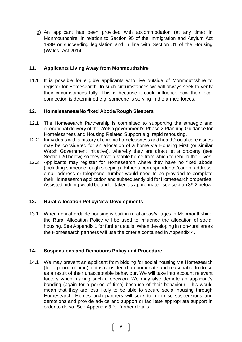g) An applicant has been provided with accommodation (at any time) in Monmouthshire, in relation to Section 95 of the Immigration and Asylum Act 1999 or succeeding legislation and in line with Section 81 of the Housing (Wales) Act 2014.

# **11. Applicants Living Away from Monmouthshire**

11.1 It is possible for eligible applicants who live outside of Monmouthshire to register for Homesearch. In such circumstances we will always seek to verify their circumstances fully. This is because it could influence how their local connection is determined e.g. someone is serving in the armed forces.

# **12. Homelessness/No fixed Abode/Rough Sleepers**

- 12.1 The Homesearch Partnership is committed to supporting the strategic and operational delivery of the Welsh government's Phase 2 Planning Guidance for Homelessness and Housing Related Support e.g. rapid rehousing.
- 12.2 Individuals with a history of chronic homelessness and health/social care issues may be considered for an allocation of a home via Housing First (or similar Welsh Government initiative), whereby they are direct let a property (see Section 20 below) so they have a stable home from which to rebuild their lives.
- 12.3 Applicants may register for Homesearch where they have no fixed abode (including someone rough sleeping). Either a correspondence/care of address, email address or telephone number would need to be provided to complete their Homesearch application and subsequently bid for Homesearch properties. Assisted bidding would be under-taken as appropriate - see section 39.2 below.

# **13. Rural Allocation Policy/New Developments**

13.1 When new affordable housing is built in rural areas/villages in Monmouthshire, the Rural Allocation Policy will be used to influence the allocation of social housing. See Appendix 1 for further details. When developing in non-rural areas the Homesearch partners will use the criteria contained in Appendix 4.

# **14. Suspensions and Demotions Policy and Procedure**

14.1 We may prevent an applicant from bidding for social housing via Homesearch (for a period of time), if it is considered proportionate and reasonable to do so as a result of their unacceptable behaviour. We will take into account relevant factors when making such a decision. We may also demote an applicant's banding (again for a period of time) because of their behaviour. This would mean that they are less likely to be able to secure social housing through Homesearch. Homesearch partners will seek to minimise suspensions and demotions and provide advice and support or facilitate appropriate support in order to do so. See Appendix 3 for further details.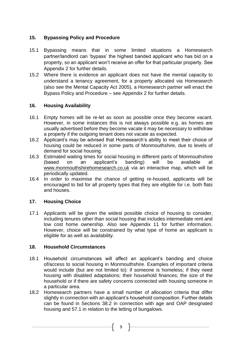# **15. Bypassing Policy and Procedure**

- 15.1 Bypassing means that in some limited situations a Homesearch partner/landlord can 'bypass' the highest banded applicant who has bid on a property, so an applicant won't receive an offer for that particular property. See Appendix 2 for further details.
- 15.2 Where there is evidence an applicant does not have the mental capacity to understand a tenancy agreement, for a property allocated via Homesearch (also see the Mental Capacity Act 2005), a Homesearch partner will enact the Bypass Policy and Procedure – see Appendix 2 for further details.

# **16. Housing Availability**

- 16.1 Empty homes will be re-let as soon as possible once they become vacant. However, in some instances this is not always possible e.g. as homes are usually advertised before they become vacate it may be necessary to withdraw a property if the outgoing tenant does not vacate as expected.
- 16.2 Applicant's may be advised that Homesearch's ability to meet their choice of housing could be reduced in some parts of Monmouthshire, due to levels of demand for social housing.
- 16.3 Estimated waiting times for social housing in different parts of Monmouthshire (based on an applicant's banding) will be available at [www.monmouthshirehomesearch.co.uk](http://www.monmouthshirehomesearch.co.uk/) via an interactive map, which will be periodically updated.
- 16.4 In order to maximise the chance of getting re-housed, applicants will be encouraged to bid for all property types that they are eligible for i.e. both flats and houses.

# **17. Housing Choice**

17.1 Applicants will be given the widest possible choice of housing to consider, including tenures other than social housing that includes intermediate rent and low cost home ownership. Also see Appendix 11 for further information. However, choice will be constrained by what type of home an applicant is eligible for as well as availability.

# **18. Household Circumstances**

- 18.1 Household circumstances will affect an applicant's banding and choice of/access to social housing in Monmouthshire. Examples of important criteria would include (but are not limited to): if someone is homeless; if they need housing with disabled adaptations; their household finances; the size of the household or if there are safety concerns connected with housing someone in a particular area.
- 18.2 Homesearch partners have a small number of allocation criteria that differ slightly in connection with an applicant's household composition. Further details can be found in Sections 38.2 in connection with age and OAP designated housing and 57.1 in relation to the letting of bungalows.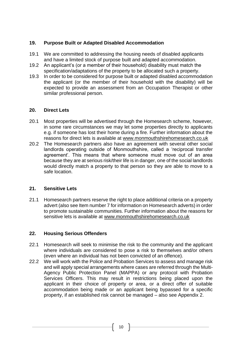# **19. Purpose Built or Adapted Disabled Accommodation**

- 19.1 We are committed to addressing the housing needs of disabled applicants and have a limited stock of purpose built and adapted accommodation.
- 19.2 An applicant's (or a member of their household) disability must match the specification/adaptations of the property to be allocated such a property.
- 19.3 In order to be considered for purpose built or adapted disabled accommodation the applicant (or the member of their household with the disability) will be expected to provide an assessment from an Occupation Therapist or other similar professional person.

# **20. Direct Lets**

- 20.1 Most properties will be advertised through the Homesearch scheme, however, in some rare circumstances we may let some properties directly to applicants e.g. if someone has lost their home during a fire. Further information about the reasons for direct lets is available at [www.monmouthshirehomesearch.co.uk](http://www.monmouthshirehomesearch.co.uk/)
- 20.2 The Homesearch partners also have an agreement with several other social landlords operating outside of Monmouthshire, called a 'reciprocal transfer agreement'. This means that where someone must move out of an area because they are at serious risk/their life is in danger, one of the social landlords would directly match a property to that person so they are able to move to a safe location.

# **21. Sensitive Lets**

21.1 Homesearch partners reserve the right to place additional criteria on a property advert (also see Item number 7 for information on Homesearch adverts) in order to promote sustainable communities. Further information about the reasons for sensitive lets is available at [www.monmouthshirehomesearch.co.uk](http://www.monmouthshirehomesearch.co.uk/)

# **22. Housing Serious Offenders**

- 22.1 Homesearch will seek to minimise the risk to the community and the applicant where individuals are considered to pose a risk to themselves and/or others (even where an individual has not been convicted of an offence).
- 22.2 We will work with the Police and Probation Services to assess and manage risk and will apply special arrangements where cases are referred through the Multi-Agency Public Protection Panel (MAPPA) or any protocol with Probation Services Officers. This may result in restrictions being placed upon the applicant in their choice of property or area, or a direct offer of suitable accommodation being made or an applicant being bypassed for a specific property, if an established risk cannot be managed – also see Appendix 2.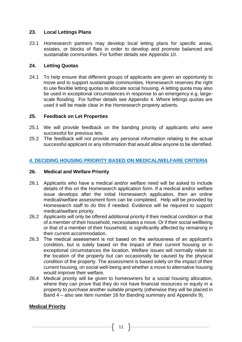#### **23. Local Lettings Plans**

23.1 Homesearch partners may develop local letting plans for specific areas, estates, or blocks of flats in order to develop and promote balanced and sustainable communities. For further details see Appendix 10.

#### **24. Letting Quotas**

24.1 To help ensure that different groups of applicants are given an opportunity to move and to support sustainable communities, Homesearch reserves the right to use flexible letting quotas to allocate social housing. A letting quota may also be used in exceptional circumstances in response to an emergency e.g. largescale flooding. For further details see Appendix 4. Where lettings quotas are used it will be made clear in the Homesearch property adverts.

#### **25. Feedback on Let Properties**

- 25.1 We will provide feedback on the banding priority of applicants who were successful for previous lets.
- 25.2 The feedback will not provide any personal information relating to the actual successful applicant or any information that would allow anyone to be identified.

# **4. DECIDING HOUSING PRIORITY BASED ON MEDICAL/WELFARE CRITERIA**

#### **26. Medical and Welfare Priority**

- 26.1 Applicants who have a medical and/or welfare need will be asked to include details of this on the Homesearch application form. If a medical and/or welfare issue develops after the initial Homesearch application, then an online medical/welfare assessment form can be completed. Help will be provided by Homesearch staff to do this if needed. Evidence will be required to support medical/welfare priority.
- 26.2 Applicants will only be offered additional priority if their medical condition or that of a member of their household, necessitates a move. Or if their social wellbeing or that of a member of their household, is significantly affected by remaining in their current accommodation.
- 26.3 The medical assessment is not based on the seriousness of an applicant's condition, but is solely based on the impact of their current housing or in exceptional circumstances the location. Welfare issues will normally relate to the location of the property but can occasionally be caused by the physical condition of the property. The assessment is based solely on the impact of their current housing, on social well-being and whether a move to alternative housing would improve their welfare.
- 26.4 Medical priority will be given to homeowners for a social housing allocation, where they can prove that they do not have financial resources or equity in a property to purchase another suitable property (otherwise they will be placed in Band 4 – also see Item number 16 for Banding summary and Appendix 9).

# **Medical Priority**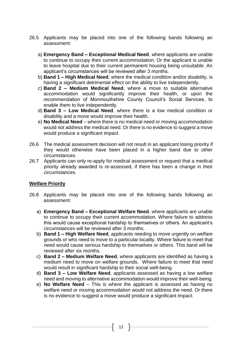- 26.5 Applicants may be placed into one of the following bands following an assessment:
	- a) **Emergency Band – Exceptional Medical Need**, where applicants are unable to continue to occupy their current accommodation. Or the applicant is unable to leave hospital due to their current permanent housing being unsuitable. An applicant's circumstances will be reviewed after 3 months.
	- b) **Band 1 – High Medical Need**, where the medical condition and/or disability, is having a significant detrimental effect on the ability to live independently.
	- c) **Band 2 – Medium Medical Need**, where a move to suitable alternative accommodation would significantly improve their health, or upon the recommendation of Monmouthshire County Council's Social Services, to enable them to live independently.
	- d) **Band 3 – Low Medical Need**, where there is a low medical condition or disability and a move would improve their health.
	- e) **No Medical Need** where there is no medical need or moving accommodation would not address the medical need. Or there is no evidence to suggest a move would produce a significant impact.
- 26.6 The medical assessment decision will not result in an applicant losing priority if they would otherwise have been placed in a higher band due to other circumstances.
- 26.7 Applicants can only re-apply for medical assessment or request that a medical priority already awarded is re-assessed, if there has been a change in their circumstances.

# **Welfare Priority**

- 26.8 Applicants may be placed into one of the following bands following an assessment:
	- a) **Emergency Band – Exceptional Welfare Need**, where applicants are unable to continue to occupy their current accommodation. Where failure to address this would cause exceptional hardship to themselves or others. An applicant's circumstances will be reviewed after 3 months.
	- b) **Band 1 – High Welfare Need**, applicants needing to move urgently on welfare grounds or who need to move to a particular locality. Where failure to meet that need would cause serious hardship to themselves or others. This band will be reviewed after six months.
	- c) **Band 2 – Medium Welfare Need**, where applicants are identified as having a medium need to move on welfare grounds. Where failure to meet that need would result in significant hardship to their social well-being.
	- d) **Band 3 – Low Welfare Need**, applicants assessed as having a low welfare need and moving to alternative accommodation would improve their well-being.
	- e) **No Welfare Need** This is where the applicant is assessed as having no welfare need or moving accommodation would not address the need. Or there is no evidence to suggest a move would produce a significant impact.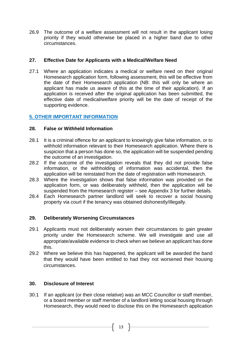26.9 The outcome of a welfare assessment will not result in the applicant losing priority if they would otherwise be placed in a higher band due to other circumstances.

#### **27. Effective Date for Applicants with a Medical/Welfare Need**

27.1 Where an application indicates a medical or welfare need on their original Homesearch application form, following assessment, this will be effective from the date of their Homesearch application (NB: this will only be where an applicant has made us aware of this at the time of their application). If an application is received after the original application has been submitted, the effective date of medical/welfare priority will be the date of receipt of the supporting evidence.

# **5. OTHER IMPORTANT INFORMATION**

#### **28. False or Withheld Information**

- 28.1 It is a criminal offence for an applicant to knowingly give false information, or to withhold information relevant to their Homesearch application. Where there is suspicion that a person has done so, the application will be suspended pending the outcome of an investigation.
- 28.2 If the outcome of the investigation reveals that they did not provide false information, or the withholding of information was accidental, then the application will be reinstated from the date of registration with Homesearch.
- 28.3 Where the investigation shows that false information was provided on the application form, or was deliberately withheld, then the application will be suspended from the Homesearch register – see Appendix 3 for further details.
- 28.4 Each Homesearch partner landlord will seek to recover a social housing property via court if the tenancy was obtained dishonestly/illegally.

# **29. Deliberately Worsening Circumstances**

- 29.1 Applicants must not deliberately worsen their circumstances to gain greater priority under the Homesearch scheme. We will investigate and use all appropriate/available evidence to check when we believe an applicant has done this.
- 29.2 Where we believe this has happened, the applicant will be awarded the band that they would have been entitled to had they not worsened their housing circumstances.

# **30. Disclosure of Interest**

30.1 If an applicant (or their close relative) was an MCC Councillor or staff member, or a board member or staff member of a landlord letting social housing through Homesearch, they would need to disclose this on the Homesearch application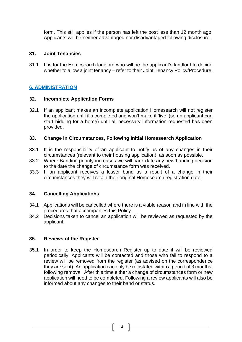form. This still applies if the person has left the post less than 12 month ago. Applicants will be neither advantaged nor disadvantaged following disclosure.

#### **31. Joint Tenancies**

31.1 It is for the Homesearch landlord who will be the applicant's landlord to decide whether to allow a joint tenancy – refer to their Joint Tenancy Policy/Procedure.

# **6. ADMINISTRATION**

#### **32. Incomplete Application Forms**

32.1 If an applicant makes an incomplete application Homesearch will not register the application until it's completed and won't make it 'live' (so an applicant can start bidding for a home) until all necessary information requested has been provided.

#### **33. Change in Circumstances, Following Initial Homesearch Application**

- 33.1 It is the responsibility of an applicant to notify us of any changes in their circumstances (relevant to their housing application), as soon as possible.
- 33.2 Where Banding priority increases we will back date any new banding decision to the date the change of circumstance form was received.
- 33.3 If an applicant receives a lesser band as a result of a change in their circumstances they will retain their original Homesearch registration date.

# **34. Cancelling Applications**

- 34.1 Applications will be cancelled where there is a viable reason and in line with the procedures that accompanies this Policy.
- 34.2 Decisions taken to cancel an application will be reviewed as requested by the applicant.

# **35. Reviews of the Register**

35.1 In order to keep the Homesearch Register up to date it will be reviewed periodically. Applicants will be contacted and those who fail to respond to a review will be removed from the register (as advised on the correspondence they are sent). An application can only be reinstated within a period of 3 months, following removal. After this time either a change of circumstances form or new application will need to be completed. Following a review applicants will also be informed about any changes to their band or status.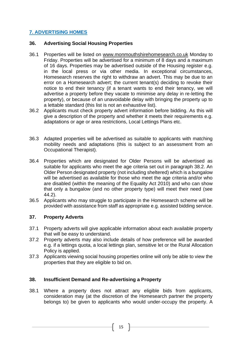# **7. ADVERTISING HOMES**

## **36. Advertising Social Housing Properties**

- 36.1 Properties will be listed on [www.monmouthshirehomesearch.co.uk](http://www.monmouthshirehomesearch.co.uk/) Monday to Friday. Properties will be advertised for a minimum of 8 days and a maximum of 16 days. Properties may be advertised outside of the Housing register e.g. in the local press or via other media. In exceptional circumstances, Homesearch reserves the right to withdraw an advert. This may be due to an error on a Homesearch advert; the current tenant(s) deciding to revoke their notice to end their tenancy (if a tenant wants to end their tenancy, we will advertise a property before they vacate to minimise any delay in re-letting the property), or because of an unavoidable delay with bringing the property up to a lettable standard (this list is not an exhaustive list).
- 36.2 Applicants must check property advert information before bidding. As this will give a description of the property and whether it meets their requirements e.g. adaptations or age or area restrictions, Local Lettings Plans etc.
- 36.3 Adapted properties will be advertised as suitable to applicants with matching mobility needs and adaptations (this is subject to an assessment from an Occupational Therapist).
- 36.4 Properties which are designated for Older Persons will be advertised as suitable for applicants who meet the age criteria set out in paragraph 38.2. An Older Person designated property (not including sheltered) which is a bungalow will be advertised as available for those who meet the age criteria and/or who are disabled (within the meaning of the Equality Act 2010) and who can show that only a bungalow (and no other property type) will meet their need (see 44.2).
- 36.5 Applicants who may struggle to participate in the Homesearch scheme will be provided with assistance from staff as appropriate e.g. assisted bidding service.

# **37. Property Adverts**

- 37.1 Property adverts will give applicable information about each available property that will be easy to understand.
- 37.2 Property adverts may also include details of how preference will be awarded e.g. if a lettings quota, a local lettings plan, sensitive let or the Rural Allocation Policy is applied.
- 37.3 Applicants viewing social housing properties online will only be able to view the properties that they are eligible to bid on.

# **38. Insufficient Demand and Re-advertising a Property**

38.1 Where a property does not attract any eligible bids from applicants, consideration may (at the discretion of the Homesearch partner the property belongs to) be given to applicants who would under-occupy the property. A

 $15$  }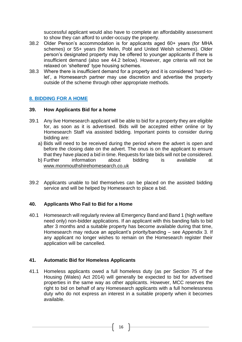successful applicant would also have to complete an affordability assessment to show they can afford to under-occupy the property.

- 38.2 Older Person's accommodation is for applicants aged 60+ years (for MHA schemes) or 55+ years (for Melin, Pobl and United Welsh schemes). Older person's designated property may be offered to younger applicants if there is insufficient demand (also see 44.2 below). However, age criteria will not be relaxed on 'sheltered' type housing schemes.
- 38.3 Where there is insufficient demand for a property and it is considered 'hard-tolet', a Homesearch partner may use discretion and advertise the property outside of the scheme through other appropriate methods.

# **8. BIDDING FOR A HOME**

#### **39. How Applicants Bid for a home**

- 39.1 Any live Homesearch applicant will be able to bid for a property they are eligible for, as soon as it is advertised. Bids will be accepted either online or by Homesearch Staff via assisted bidding. Important points to consider during bidding are:
	- a) Bids will need to be received during the period where the advert is open and before the closing date on the advert. The onus is on the applicant to ensure that they have placed a bid in time. Requests for late bids will not be considered.
	- b) Further information about bidding is available at [www.monmouthshirehomesearch.co.uk](http://www.monmouthshirehomesearch.co.uk/)
- 39.2 Applicants unable to bid themselves can be placed on the assisted bidding service and will be helped by Homesearch to place a bid.

#### **40. Applicants Who Fail to Bid for a Home**

40.1 Homesearch will regularly review all Emergency Band and Band 1 (high welfare need only) non-bidder applications. If an applicant with this banding fails to bid after 3 months and a suitable property has become available during that time, Homesearch may reduce an applicant's priority/banding – see Appendix 3. If any applicant no longer wishes to remain on the Homesearch register their application will be cancelled.

#### **41. Automatic Bid for Homeless Applicants**

41.1 Homeless applicants owed a full homeless duty (as per Section 75 of the Housing (Wales) Act 2014) will generally be expected to bid for advertised properties in the same way as other applicants. However, MCC reserves the right to bid on behalf of any Homesearch applicants with a full homelessness duty who do not express an interest in a suitable property when it becomes available.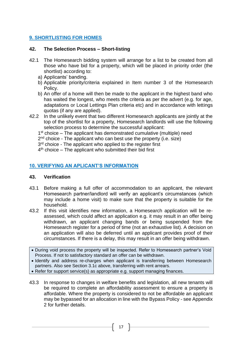# **9. SHORTLISTING FOR HOMES**

## **42. The Selection Process – Short-listing**

- 42.1 The Homesearch bidding system will arrange for a list to be created from all those who have bid for a property, which will be placed in priority order (the shortlist) according to:
	- a) Applicants' banding.
	- b) Applicable priority/criteria explained in Item number 3 of the Homesearch Policy.
	- b) An offer of a home will then be made to the applicant in the highest band who has waited the longest, who meets the criteria as per the advert (e.g. for age, adaptations or Local Lettings Plan criteria etc) and in accordance with lettings quotas (if any are applied).
- 42.2 In the unlikely event that two different Homesearch applicants are jointly at the top of the shortlist for a property, Homesearch landlords will use the following selection process to determine the successful applicant:
	- 1<sup>st</sup> choice The applicant has demonstrated cumulative (multiple) need
	- 2<sup>nd</sup> choice The applicant who can best use the property (i.e. size)
	- 3<sup>rd</sup> choice The applicant who applied to the register first
	- 4<sup>th</sup> choice The applicant who submitted their bid first

# **10. VERIFYING AN APLICANT'S INFORMATION**

#### **43. Verification**

- 43.1 Before making a full offer of accommodation to an applicant, the relevant Homesearch partner/landlord will verify an applicant's circumstances (which may include a home visit) to make sure that the property is suitable for the household.
- 43.2 If this visit identifies new information, a Homesearch application will be reassessed, which could affect an application e.g. it may result in an offer being withdrawn, an applicant changing bands or being suspended from the Homesearch register for a period of time (not an exhaustive list). A decision on an application will also be deferred until an applicant provides proof of their circumstances. If there is a delay, this may result in an offer being withdrawn.
- During void process the property will be inspected. Refer to Homesearch partner's Void Process. If not to satisfactory standard an offer can be withdrawn.
- Identify and address re-charges when applicant is transferring between Homesearch partners. Also see Section 3.1c above, transferring with rent arrears.
- Refer for support service(s) as appropriate e.g. support managing finances.
- 43.3 In response to changes in welfare benefits and legislation, all new tenants will be required to complete an affordability assessment to ensure a property is affordable. Where the property is considered to not be affordable an applicant may be bypassed for an allocation in line with the Bypass Policy - see Appendix 2 for further details.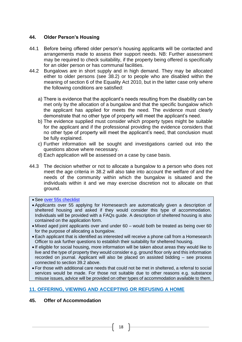## **44. Older Person's Housing**

- 44.1 Before being offered older person's housing applicants will be contacted and arrangements made to assess their support needs. NB: Further assessment may be required to check suitability, if the property being offered is specifically for an older person or has communal facilities.
- 44.2 Bungalows are in short supply and in high demand. They may be allocated either to older persons (see 38.2) or to people who are disabled within the meaning of section 6 of the Equality Act 2010, but in the latter case only where the following conditions are satisfied:
	- a) There is evidence that the applicant's needs resulting from the disability can be met only by the allocation of a bungalow and that the specific bungalow which the applicant has applied for meets the need. The evidence must clearly demonstrate that no other type of property will meet the applicant's need.
	- b) The evidence supplied must consider which property types might be suitable for the applicant and if the professional providing the evidence considers that no other type of property will meet the applicant's need, that conclusion must be fully explained.
	- c) Further information will be sought and investigations carried out into the questions above where necessary.
	- d) Each application will be assessed on a case by case basis.
- 44.3 The decision whether or not to allocate a bungalow to a person who does not meet the age criteria in 38.2 will also take into account the welfare of and the needs of the community within which the bungalow is situated and the individuals within it and we may exercise discretion not to allocate on that ground.

#### • See [over 55s checklist](file://///mhasvr05.mha.local/mha/Housing%20&%20Communities/Monmouthshire%20Homesearch/2016_Homesearch/User%20Guides/Checklist%20&%20procedures/Welfare%20Assessment%20Checklist%20-%20Older%20persons%20offer.docx)

- Applicants over 55 applying for Homesearch are automatically given a description of sheltered housing and asked if they would consider this type of accommodation. Individuals will be provided with a FAQs guide. A description of sheltered housing is also contained on the application form.
- Mixed aged joint applicants over and under 60 would both be treated as being over 60 for the purpose of allocating a bungalow.
- Each applicant that is identified as interested will receive a phone call from a Homesearch Officer to ask further questions to establish their suitability for sheltered housing.
- If eligible for social housing, more information will be taken about areas they would like to live and the type of property they would consider e.g. ground floor only and this information recorded on journal. Applicant will also be placed on assisted bidding – see process connected to section 39.2 above.
- For those with additional care needs that could not be met in sheltered, a referral to social services would be made. For those not suitable due to other reasons e.g. substance misuse issues, advice will be provided on other types of accommodation available to them.

# **11. OFFERING, VIEWING AND ACCEPTING OR REFUSING A HOME**

# **45. Offer of Accommodation**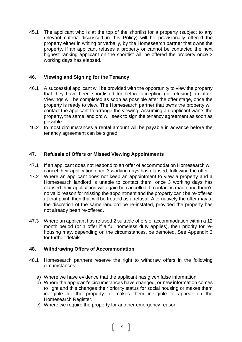45.1 The applicant who is at the top of the shortlist for a property (subject to any relevant criteria discussed in this Policy) will be provisionally offered the property either in writing or verbally, by the Homesearch partner that owns the property. If an applicant refuses a property or cannot be contacted the next highest ranking applicant on the shortlist will be offered the property once 3 working days has elapsed.

#### **46. Viewing and Signing for the Tenancy**

- 46.1 A successful applicant will be provided with the opportunity to view the property that they have been shortlisted for before accepting (or refusing) an offer. Viewings will be completed as soon as possible after the offer stage, once the property is ready to view. The Homesearch partner that owns the property will contact the applicant to arrange the viewing. Assuming an applicant wants the property, the same landlord will seek to sign the tenancy agreement as soon as possible.
- 46.2 In most circumstances a rental amount will be payable in advance before the tenancy agreement can be signed.

#### **47. Refusals of Offers or Missed Viewing Appointments**

- 47.1 If an applicant does not respond to an offer of accommodation Homesearch will cancel their application once 3 working days has elapsed, following the offer.
- 47.2 Where an applicant does not keep an appointment to view a property and a Homesearch landlord is unable to contact them, once 3 working days has elapsed their application will again be cancelled. If contact is made and there's no valid reason for missing the appointment and the property can't be re-offered at that point, then that will be treated as a refusal. Alternatively the offer may at the discretion of the same landlord be re-instated, provided the property has not already been re-offered.
- 47.3 Where an applicant has refused 2 suitable offers of accommodation within a 12 month period (or 1 offer if a full homeless duty applies), their priority for rehousing may, depending on the circumstances, be demoted. See Appendix 3 for further details.

#### **48. Withdrawing Offers of Accommodation**

- 48.1 Homesearch partners reserve the right to withdraw offers in the following circumstances:
	- a) Where we have evidence that the applicant has given false information.
	- b) Where the applicant's circumstances have changed, or new information comes to light and this changes their priority status for social housing or makes them ineligible for the property or makes them ineligible to appear on the Homesearch Register.
	- c) Where we require the property for another emergency reason.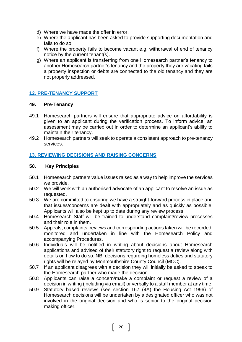- d) Where we have made the offer in error.
- e) Where the applicant has been asked to provide supporting documentation and fails to do so.
- f) Where the property fails to become vacant e.g. withdrawal of end of tenancy notice by the current tenant(s).
- g) Where an applicant is transferring from one Homesearch partner's tenancy to another Homesearch partner's tenancy and the property they are vacating fails a property inspection or debts are connected to the old tenancy and they are not properly addressed.

# **12. PRE-TENANCY SUPPORT**

#### **49. Pre-Tenancy**

- 49.1 Homesearch partners will ensure that appropriate advice on affordability is given to an applicant during the verification process. To inform advice, an assessment may be carried out in order to determine an applicant's ability to maintain their tenancy.
- 49.2 Homesearch partners will seek to operate a consistent approach to pre-tenancy services.

#### **13. REVIEWING DECISIONS AND RAISING CONCERNS**

#### **50. Key Principles**

- 50.1 Homesearch partners value issues raised as a way to help improve the services we provide.
- 50.2 We will work with an authorised advocate of an applicant to resolve an issue as requested.
- 50.3 We are committed to ensuring we have a straight-forward process in place and that issues/concerns are dealt with appropriately and as quickly as possible. Applicants will also be kept up to date during any review process
- 50.4 Homesearch Staff will be trained to understand complaint/review processes and their role in them.
- 50.5 Appeals, complaints, reviews and corresponding actions taken will be recorded, monitored and undertaken in line with the Homesearch Policy and accompanying Procedures.
- 50.6 Individuals will be notified in writing about decisions about Homesearch applications and advised of their statutory right to request a review along with details on how to do so. NB: decisions regarding homeless duties and statutory rights will be relayed by Monmouthshire County Council (MCC).
- 50.7 If an applicant disagrees with a decision they will initially be asked to speak to the Homesearch partner who made the decision.
- 50.8 Applicants can raise a concern/make a complaint or request a review of a decision in writing (including via email) or verbally to a staff member at any time.
- 50.9 Statutory based reviews (see section 167 (4A) the Housing Act 1996) of Homesearch decisions will be undertaken by a designated officer who was not involved in the original decision and who is senior to the original decision making officer.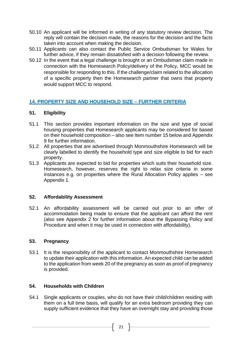- 50.10 An applicant will be informed in writing of any statutory review decision. The reply will contain the decision made, the reasons for the decision and the facts taken into account when making the decision.
- 50.11 Applicants can also contact the Public Service Ombudsman for Wales for further advice, if they remain dissatisfied with a decision following the review.
- 50.12 In the event that a legal challenge is brought or an Ombudsman claim made in connection with the Homesearch Policy/delivery of the Policy, MCC would be responsible for responding to this. If the challenge/claim related to the allocation of a specific property then the Homesearch partner that owns that property would support MCC to respond.

# **14. PROPERTY SIZE AND HOUSEHOLD SIZE – FURTHER CRITERIA**

#### **51. Eligibility**

- 51.1 This section provides important information on the size and type of social housing properties that Homesearch applicants may be considered for based on their household composition – also see Item number 15 below and Appendix 9 for further information.
- 51.2 All properties that are advertised through Monmouthshire Homesearch will be clearly labelled to identify the household type and size eligible to bid for each property.
- 51.3 Applicants are expected to bid for properties which suits their household size. Homesearch, however, reserves the right to relax size criteria in some instances e.g. on properties where the Rural Allocation Policy applies – see Appendix 1.

#### **52. Affordability Assessment**

52.1 An affordability assessment will be carried out prior to an offer of accommodation being made to ensure that the applicant can afford the rent (also see Appendix 2 for further information about the Bypassing Policy and Procedure and when it may be used in connection with affordability).

#### **53. Pregnancy**

53.1 It is the responsibility of the applicant to contact Monmouthshire Homesearch to update their application with this information. An expected child can be added to the application from week 20 of the pregnancy as soon as proof of pregnancy is provided.

#### **54. Households with Children**

54.1 Single applicants or couples, who do not have their child/children residing with them on a full time basis, will qualify for an extra bedroom providing they can supply sufficient evidence that they have an overnight stay and providing those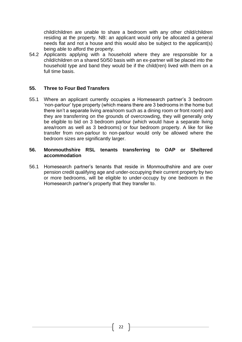child/children are unable to share a bedroom with any other child/children residing at the property. NB: an applicant would only be allocated a general needs flat and not a house and this would also be subject to the applicant(s) being able to afford the property.

54.2 Applicants applying with a household where they are responsible for a child/children on a shared 50/50 basis with an ex-partner will be placed into the household type and band they would be if the child(ren) lived with them on a full time basis.

#### **55. Three to Four Bed Transfers**

55.1 Where an applicant currently occupies a Homesearch partner's 3 bedroom 'non-parlour' type property (which means there are 3 bedrooms in the home but there isn't a separate living area/room such as a dining room or front room) and they are transferring on the grounds of overcrowding, they will generally only be eligible to bid on 3 bedroom parlour (which would have a separate living area/room as well as 3 bedrooms) or four bedroom property. A like for like transfer from non-parlour to non-parlour would only be allowed where the bedroom sizes are significantly larger.

#### **56. Monmouthshire RSL tenants transferring to OAP or Sheltered accommodation**

56.1 Homesearch partner's tenants that reside in Monmouthshire and are over pension credit qualifying age and under-occupying their current property by two or more bedrooms, will be eligible to under-occupy by one bedroom in the Homesearch partner's property that they transfer to.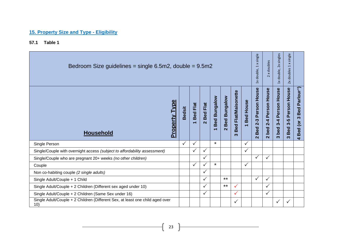# **15. Property Size and Type - Eligibility**

**57.1 Table 1** 

| Bedroom Size guidelines = single 6.5m2, double = 9.5m2                               |               |                                         |                                  |                                                 |                                                   |                                                               |              |                                                            | x doubles<br>$\sim$                                 | double, 2x singles<br>$\frac{1}{2}$                     | single<br>$\mathbf{\times}$<br>$\overline{ }$<br>doubles<br>$\overline{2}$ |                                                                                                                    |
|--------------------------------------------------------------------------------------|---------------|-----------------------------------------|----------------------------------|-------------------------------------------------|---------------------------------------------------|---------------------------------------------------------------|--------------|------------------------------------------------------------|-----------------------------------------------------|---------------------------------------------------------|----------------------------------------------------------------------------|--------------------------------------------------------------------------------------------------------------------|
| <b>Property Type</b><br><b>Household</b>                                             | <b>Bedsit</b> | Flat<br>Bed<br>$\overline{\phantom{0}}$ | Flat<br>Bed<br>$\mathbf{\Omega}$ | <b>Bed Bungalow</b><br>$\overline{\phantom{0}}$ | Bungalow<br>Bed <sup>1</sup><br>$\mathbf{\Omega}$ | <b>Flat/Maisonette</b><br><b>Bed</b><br>$\boldsymbol{\infty}$ | House<br>Bed | Person House<br>$2 - 3$<br><b>Bed</b><br>$\mathbf{\Omega}$ | Person House<br>$2 - 4$<br>bed<br>$\mathbf{\Omega}$ | Person House<br>$3 - 4$<br>bed<br>$\boldsymbol{\omega}$ | Person House<br>$3-5$<br><b>Bed</b><br>က                                   | arlour <sup>^</sup> )<br>$\mathbf{a}$<br>Bed<br>$\boldsymbol{\omega}$<br>(or<br><b>Bed</b><br>$\blacktriangleleft$ |
| Single Person                                                                        | $\checkmark$  | $\checkmark$                            |                                  | $\star$                                         |                                                   |                                                               | $\checkmark$ |                                                            |                                                     |                                                         |                                                                            |                                                                                                                    |
| Single/Couple with overnight access (subject to affordability assessment)            |               |                                         | $\checkmark$                     |                                                 |                                                   |                                                               | $\checkmark$ |                                                            |                                                     |                                                         |                                                                            |                                                                                                                    |
| Single/Couple who are pregnant 20+ weeks (no other children)                         |               |                                         | $\checkmark$                     |                                                 |                                                   |                                                               |              | $\checkmark$                                               | $\checkmark$                                        |                                                         |                                                                            |                                                                                                                    |
| Couple                                                                               |               | $\checkmark$                            | $\checkmark$                     | $\star$                                         |                                                   |                                                               | $\checkmark$ |                                                            |                                                     |                                                         |                                                                            |                                                                                                                    |
| Non co-habiting couple (2 single adults)                                             |               |                                         | ✓                                |                                                 |                                                   |                                                               |              |                                                            |                                                     |                                                         |                                                                            |                                                                                                                    |
| Single Adult/Couple + 1 Child                                                        |               |                                         | ✓                                |                                                 | $***$                                             |                                                               |              | ✓                                                          | $\checkmark$                                        |                                                         |                                                                            |                                                                                                                    |
| Single Adult/Couple + 2 Children (Different sex aged under 10)                       |               |                                         | $\checkmark$                     |                                                 | $***$                                             | $\checkmark$                                                  |              |                                                            | $\checkmark$                                        |                                                         |                                                                            |                                                                                                                    |
| Single Adult/Couple + 2 Children (Same Sex under 16)                                 |               |                                         | $\checkmark$                     |                                                 |                                                   | $\checkmark$                                                  |              |                                                            | $\checkmark$                                        |                                                         |                                                                            |                                                                                                                    |
| Single Adult/Couple + 2 Children (Different Sex, at least one child aged over<br>10) |               |                                         |                                  |                                                 |                                                   | $\checkmark$                                                  |              |                                                            |                                                     | ✓                                                       |                                                                            |                                                                                                                    |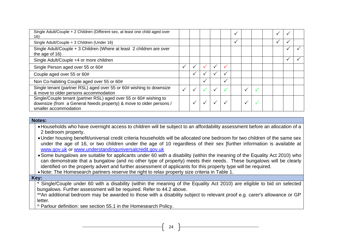| Single Adult/Couple + 2 Children (Different sex, at least one child aged over<br>16)                                                                             |  |   |  | ✓ |  |  |  |
|------------------------------------------------------------------------------------------------------------------------------------------------------------------|--|---|--|---|--|--|--|
| Single Adult/Couple + 3 Children (Under 16)                                                                                                                      |  |   |  | ✓ |  |  |  |
| Single Adult/Couple + 3 Children (Where at least 2 children are over<br>the age of 16)                                                                           |  |   |  |   |  |  |  |
| Single Adult/Couple +4 or more children                                                                                                                          |  |   |  |   |  |  |  |
| Single Person aged over 55 or 60#                                                                                                                                |  |   |  |   |  |  |  |
| Couple aged over 55 or 60#                                                                                                                                       |  |   |  |   |  |  |  |
| Non Co-habiting Couple aged over 55 or 60#                                                                                                                       |  | ✓ |  |   |  |  |  |
| Single tenant (partner RSL) aged over 55 or 60# wishing to downsize<br>& move to older persons accommodation                                                     |  |   |  |   |  |  |  |
| Single/Couple tenant (partner RSL) aged over 55 or 60# wishing to<br>downsize (from a General Needs property) & move to older persons /<br>smaller accommodation |  |   |  |   |  |  |  |

#### **Notes:**

•Households who have overnight access to children will be subject to an affordability assessment before an allocation of a 2 bedroom property.

•Under housing benefit/universal credit criteria households will be allocated one bedroom for two children of the same sex under the age of 16, or two children under the age of 10 regardless of their sex [further information is available at [www.gov.uk](http://www.gov.uk/) or [www.understandinguniversalcredit.gov.uk](http://www.understandinguniversalcredit.gov.uk/)

•Some bungalows are suitable for applicants under 60 with a disability (within the meaning of the Equality Act 2010) who can demonstrate that a bungalow (and no other type of property) meets their needs. These bungalows will be clearly identified on the property advert and further assessment of applicants for this property type will be required.

• Note: The Homesearch partners reserve the right to relax property size criteria in Table 1.

#### **Key:**

\* Single/Couple under 60 with a disability (within the meaning of the Equality Act 2010) are eligible to bid on selected bungalows. Further assessment will be required. Refer to 44.2 above.

\*\*An additional bedroom may be awarded to those with a disability subject to relevant proof e.g. carer's allowance or GP letter.

^ Parlour definition: see section 55.1 in the Homesearch Policy.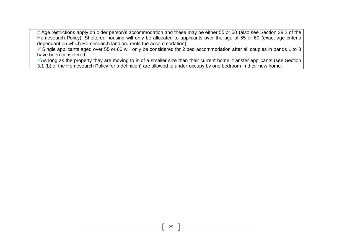# Age restrictions apply on older person's accommodation and these may be either 55 or 60 (also see Section 38.2 of the Homesearch Policy). Sheltered housing will only be allocated to applicants over the age of 55 or 60 (exact age criteria dependant on which Homesearch landlord rents the accommodation).

 $\checkmark$  Single applicants aged over 55 or 60 will only be considered for 2 bed accommodation after all couples in bands 1 to 3 have been considered.

 $\checkmark$ As long as the property they are moving to is of a smaller size than their current home, transfer applicants (see Section 3.1 (b) of the Homesearch Policy for a definition) are allowed to under-occupy by one bedroom in their new home.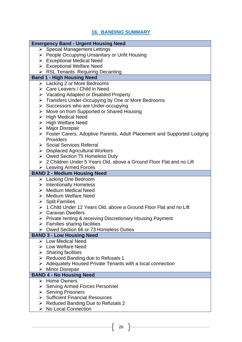# **16. BANDING SUMMARY**

#### **Emergency Band - Urgent Housing Need** ➢ Special Management Lettings ➢ People Occupying Unsanitary or Unfit Housing ➢ Exceptional Medical Need ➢ Exceptional Welfare Need ➢ RSL Tenants Requiring Decanting **Band 1 - High Housing Need** ➢ Lacking 2 or More Bedrooms ➢ Care Leavers / Child in Need ➢ Vacating Adapted or Disabled Property ➢ Transfers Under-Occupying by One or More Bedrooms ➢ Successors who are Under-occupying ➢ Move on from Supported or Shared Housing ➢ High Medical Need ➢ High Welfare Need ➢ Major Disrepair ➢ Foster Carers, Adoptive Parents, Adult Placement and Supported Lodging **Providers** ➢ Social Services Referral ➢ Displaced Agricultural Workers ➢ Owed Section 75 Homeless Duty ➢ 2 Children Under 5 Years Old, above a Ground Floor Flat and no Lift ➢ Leaving Armed Forces **BAND 2 - Medium Housing Need** ➢ Lacking One Bedroom ➢ Intentionally Homeless ➢ Medium Medical Need ➢ Medium Welfare Need ➢ Split Families ➢ 1 Child Under 12 Years Old, above a Ground Floor Flat and no Lift ➢ Caravan Dwellers ➢ Private renting & receiving Discretionary Housing Payment  $\triangleright$  Families sharing facilities ➢ Owed Section 66 or 73 Homeless Duties **BAND 3 - Low Housing Need** ➢ Low Medical Need ➢ Low Welfare Need  $\triangleright$  Sharing facilities ➢ Reduced Banding due to Refusals 1 ➢ Adequately Housed Private Tenants with a local connection ➢ Minor Disrepair **BAND 4 - No Housing Need** ➢ Home Owners ➢ Serving Armed Forces Personnel ➢ Serving Prisoners ➢ Sufficient Financial Resources

- ➢ Reduced Banding Due to Refusals 2
- ➢ No Local Connection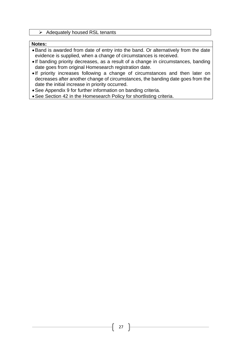➢ Adequately housed RSL tenants

#### **Notes:**

- •Band is awarded from date of entry into the band. Or alternatively from the date evidence is supplied, when a change of circumstances is received.
- If banding priority decreases, as a result of a change in circumstances, banding date goes from original Homesearch registration date.
- If priority increases following a change of circumstances and then later on decreases after another change of circumstances, the banding date goes from the date the initial increase in priority occurred.
- •See Appendix 9 for further information on banding criteria.
- •See Section 42 in the Homesearch Policy for shortlisting criteria.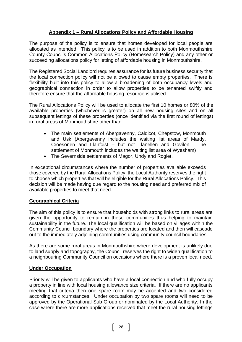# **Appendix 1 – Rural Allocations Policy and Affordable Housing**

The purpose of the policy is to ensure that homes developed for local people are allocated as intended. This policy is to be used in addition to both Monmouthshire County Council's Common Allocations Policy (Homesearch Policy) and any other or succeeding allocations policy for letting of affordable housing in Monmouthshire.

The Registered Social Landlord requires assurance for its future business security that the local connection policy will not be allowed to cause empty properties. There is flexibility built into this policy to allow a broadening of both occupancy levels and geographical connection in order to allow properties to be tenanted swiftly and therefore ensure that the affordable housing resource is utilised.

The Rural Allocations Policy will be used to allocate the first 10 homes or 80% of the available properties (whichever is greater) on all new housing sites and on all subsequent lettings of these properties (once identified via the first round of lettings) in rural areas of Monmouthshire other than:

- The main settlements of Abergavenny, Caldicot, Chepstow, Monmouth and Usk (Abergavenny includes the waiting list areas of Mardy, Croesonen and Llanfoist – but not Llanellen and Govilon. The settlement of Monmouth includes the waiting list area of Wyesham)
- The Severnside settlements of Magor, Undy and Rogiet.

In exceptional circumstances where the number of properties available exceeds those covered by the Rural Allocations Policy, the Local Authority reserves the right to choose which properties that will be eligible for the Rural Allocations Policy. This decision will be made having due regard to the housing need and preferred mix of available properties to meet that need.

# **Geographical Criteria**

The aim of this policy is to ensure that households with strong links to rural areas are given the opportunity to remain in these communities thus helping to maintain sustainability in the future. The local qualification will be based on villages within the Community Council boundary where the properties are located and then will cascade out to the immediately adjoining communities using community council boundaries.

As there are some rural areas in Monmouthshire where development is unlikely due to land supply and topography, the Council reserves the right to widen qualification to a neighbouring Community Council on occasions where there is a proven local need.

#### **Under Occupation**

Priority will be given to applicants who have a local connection and who fully occupy a property in line with local housing allowance size criteria. If there are no applicants meeting that criteria then one spare room may be accepted and two considered according to circumstances. Under occupation by two spare rooms will need to be approved by the Operational Sub Group or nominated by the Local Authority. In the case where there are more applications received that meet the rural housing lettings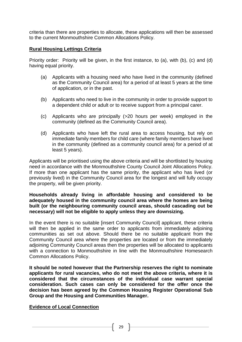criteria than there are properties to allocate, these applications will then be assessed to the current Monmouthshire Common Allocations Policy.

#### **Rural Housing Lettings Criteria**

Priority order: Priority will be given, in the first instance, to (a), with (b), (c) and (d) having equal priority.

- (a) Applicants with a housing need who have lived in the community (defined as the Community Council area) for a period of at least 5 years at the time of application, or in the past.
- (b) Applicants who need to live in the community in order to provide support to a dependent child or adult or to receive support from a principal carer.
- (c) Applicants who are principally (>20 hours per week) employed in the community (defined as the Community Council area).
- (d) Applicants who have left the rural area to access housing, but rely on immediate family members for child care (where family members have lived in the community (defined as a community council area) for a period of at least 5 years).

Applicants will be prioritised using the above criteria and will be shortlisted by housing need in accordance with the Monmouthshire County Council Joint Allocations Policy. If more than one applicant has the same priority, the applicant who has lived (or previously lived) in the Community Council area for the longest and will fully occupy the property, will be given priority.

#### **Households already living in affordable housing and considered to be adequately housed in the community council area where the homes are being built (or the neighbouring community council areas, should cascading out be necessary) will not be eligible to apply unless they are downsizing.**

In the event there is no suitable [insert Community Council] applicant, these criteria will then be applied in the same order to applicants from immediately adjoining communities as set out above. Should there be no suitable applicant from the Community Council area where the properties are located or from the immediately adjoining Community Council areas then the properties will be allocated to applicants with a connection to Monmouthshire in line with the Monmouthshire Homesearch Common Allocations Policy.

**It should be noted however that the Partnership reserves the right to nominate applicants for rural vacancies, who do not meet the above criteria, where it is considered that the circumstances of the individual case warrant special consideration. Such cases can only be considered for the offer once the decision has been agreed by the Common Housing Register Operational Sub Group and the Housing and Communities Manager.**

#### **Evidence of Local Connection**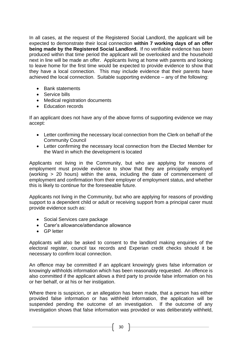In all cases, at the request of the Registered Social Landlord, the applicant will be expected to demonstrate their local connection **within 7 working days of an offer being made by the Registered Social Landlord.** If no verifiable evidence has been produced within that time period the applicant will be overlooked and the household next in line will be made an offer. Applicants living at home with parents and looking to leave home for the first time would be expected to provide evidence to show that they have a local connection. This may include evidence that their parents have achieved the local connection. Suitable supporting evidence – any of the following:

- Bank statements
- Service bills
- Medical registration documents
- Education records

If an applicant does not have any of the above forms of supporting evidence we may accept:

- Letter confirming the necessary local connection from the Clerk on behalf of the Community Council
- Letter confirming the necessary local connection from the Elected Member for the Ward in which the development is located

Applicants not living in the Community, but who are applying for reasons of employment must provide evidence to show that they are principally employed (working > 20 hours) within the area, including the date of commencement of employment and confirmation from their employer of employment status, and whether this is likely to continue for the foreseeable future.

Applicants not living in the Community, but who are applying for reasons of providing support to a dependent child or adult or receiving support from a principal carer must provide evidence such as:

- Social Services care package
- Carer's allowance/attendance allowance
- GP letter

Applicants will also be asked to consent to the landlord making enquiries of the electoral register, council tax records and Experian credit checks should it be necessary to confirm local connection.

An offence may be committed if an applicant knowingly gives false information or knowingly withholds information which has been reasonably requested. An offence is also committed if the applicant allows a third party to provide false information on his or her behalf, or at his or her instigation.

Where there is suspicion, or an allegation has been made, that a person has either provided false information or has withheld information, the application will be suspended pending the outcome of an investigation. If the outcome of any investigation shows that false information was provided or was deliberately withheld,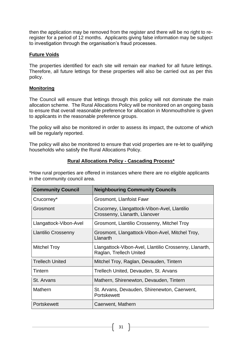then the application may be removed from the register and there will be no right to reregister for a period of 12 months. Applicants giving false information may be subject to investigation through the organisation's fraud processes.

## **Future Voids**

The properties identified for each site will remain ear marked for all future lettings. Therefore, all future lettings for these properties will also be carried out as per this policy.

#### **Monitoring**

The Council will ensure that lettings through this policy will not dominate the main allocation scheme. The Rural Allocations Policy will be monitored on an ongoing basis to ensure that overall reasonable preference for allocation in Monmouthshire is given to applicants in the reasonable preference groups.

The policy will also be monitored in order to assess its impact, the outcome of which will be regularly reported.

The policy will also be monitored to ensure that void properties are re-let to qualifying households who satisfy the Rural Allocations Policy.

#### **Rural Allocations Policy - Cascading Process\***

\*How rural properties are offered in instances where there are no eligible applicants in the community council area.

| <b>Community Council</b>   | <b>Neighbouring Community Councils</b>                                            |  |  |  |  |  |  |
|----------------------------|-----------------------------------------------------------------------------------|--|--|--|--|--|--|
| Crucorney*                 | Grosmont, Llanfoist Fawr                                                          |  |  |  |  |  |  |
| Grosmont                   | Crucorney, Llangattock-Vibon-Avel, Llantilio<br>Crossenny, Llanarth, Llanover     |  |  |  |  |  |  |
| Llangattock-Vibon-Avel     | Grosmont, Llantilio Crossenny, Mitchel Troy                                       |  |  |  |  |  |  |
| <b>Llantilio Crossenny</b> | Grosmont, Llangattock-Vibon-Avel, Mitchel Troy,<br>Llanarth                       |  |  |  |  |  |  |
| <b>Mitchel Troy</b>        | Llangattock-Vibon-Avel, Llantilio Crossenny, Llanarth,<br>Raglan, Trellech United |  |  |  |  |  |  |
| <b>Trellech United</b>     | Mitchel Troy, Raglan, Devauden, Tintern                                           |  |  |  |  |  |  |
| Tintern                    | Trellech United, Devauden, St. Arvans                                             |  |  |  |  |  |  |
| St. Arvans                 | Mathern, Shirenewton, Devauden, Tintern                                           |  |  |  |  |  |  |
| Mathern                    | St. Arvans, Devauden, Shirenewton, Caerwent,<br>Portskewett                       |  |  |  |  |  |  |
| Portskewett                | Caerwent, Mathern                                                                 |  |  |  |  |  |  |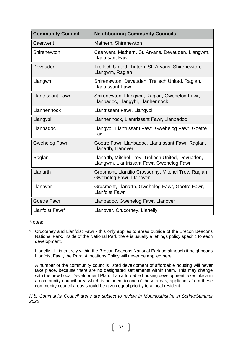| <b>Community Council</b> | <b>Neighbouring Community Councils</b>                                                          |  |  |  |  |  |  |
|--------------------------|-------------------------------------------------------------------------------------------------|--|--|--|--|--|--|
| Caerwent                 | Mathern, Shirenewton                                                                            |  |  |  |  |  |  |
| Shirenewton              | Caerwent, Mathern, St. Arvans, Devauden, Llangwm,<br><b>Llantrisant Fawr</b>                    |  |  |  |  |  |  |
| Devauden                 | Trellech United, Tintern, St. Arvans, Shirenewton,<br>Llangwm, Raglan                           |  |  |  |  |  |  |
| Llangwm                  | Shirenewton, Devauden, Trellech United, Raglan,<br><b>Llantrissant Fawr</b>                     |  |  |  |  |  |  |
| <b>Llantrissant Fawr</b> | Shirenewton, Llangwm, Raglan, Gwehelog Fawr,<br>Llanbadoc, Llangybi, Llanhennock                |  |  |  |  |  |  |
| Llanhennock              | Llantrissant Fawr, Llangybi                                                                     |  |  |  |  |  |  |
| Llangybi                 | Llanhennock, Llantrissant Fawr, Llanbadoc                                                       |  |  |  |  |  |  |
| Llanbadoc                | Llangybi, Llantrissant Fawr, Gwehelog Fawr, Goetre<br>Fawr                                      |  |  |  |  |  |  |
| <b>Gwehelog Fawr</b>     | Goetre Fawr, Llanbadoc, Llantrissant Fawr, Raglan,<br>Llanarth, Llanover                        |  |  |  |  |  |  |
| Raglan                   | Llanarth, Mitchel Troy, Trellech United, Devuaden,<br>Llangwm, Llantrissant Fawr, Gwehelog Fawr |  |  |  |  |  |  |
| Llanarth                 | Grosmont, Llantilio Crossenny, Mitchel Troy, Raglan,<br>Gwehelog Fawr, Llanover                 |  |  |  |  |  |  |
| Llanover                 | Grosmont, Llanarth, Gwehelog Fawr, Goetre Fawr,<br><b>Llanfoist Fawr</b>                        |  |  |  |  |  |  |
| <b>Goetre Fawr</b>       | Llanbadoc, Gwehelog Fawr, Llanover                                                              |  |  |  |  |  |  |
| Llanfoist Fawr*          | Llanover, Crucorney, Llanelly                                                                   |  |  |  |  |  |  |

#### Notes:

\* Crucorney and Llanfoist Fawr - this only applies to areas outside of the Brecon Beacons National Park. Inside of the National Park there is usually a lettings policy specific to each development.

Llanelly Hill is entirely within the Brecon Beacons National Park so although it neighbour's Llanfoist Fawr, the Rural Allocations Policy will never be applied here.

A number of the community councils listed development of affordable housing will never take place, because there are no designated settlements within them. This may change with the new Local Development Plan. If an affordable housing development takes place in a community council area which is adjacent to one of these areas, applicants from these community council areas should be given equal priority to a local resident.

*N.b. Community Council areas are subject to review in Monmouthshire in Spring/Summer 2022*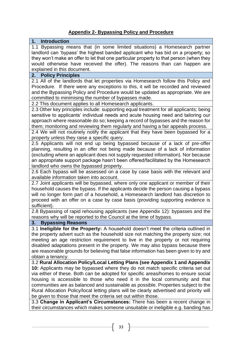# **Appendix 2- Bypassing Policy and Procedure**

# **1. Introduction**

1.1 Bypassing means that (in some limited situations) a Homesearch partner landlord can 'bypass' the highest banded applicant who has bid on a property; so they won't make an offer to let that one particular property to that person (when they would otherwise have received the offer). The reasons than can happen are explained in this document.

# **2. Policy Principles**

2.1 All of the landlords that let properties via Homesearch follow this Policy and Procedure. If there were any exceptions to this, it will be recorded and reviewed and the Bypassing Policy and Procedure would be updated as appropriate. We are committed to minimising the number of bypasses made.

2.2 This document applies to all Homesearch applicants.

2.3 Other key principles include: supporting equal treatment for all applicants; being sensitive to applicants' individual needs and acute housing need and tailoring our approach where reasonable do so; keeping a record of bypasses and the reason for them; monitoring and reviewing them regularly and having a fair appeals process.

2.4 We will not routinely notify the applicant that they have been bypassed for a property unless they raise a specific query.

2.5 Applicants will not end up being bypassed because of a lack of pre-offer planning, resulting in an offer not being made because of a lack of information (excluding where an applicant does not supply requested information). Nor because an appropriate support package hasn't been offered/facilitated by the Homesearch landlord who owns the bypassed property.

2.6 Each bypass will be assessed on a case by case basis with the relevant and available information taken into account.

2.7 Joint applicants will be bypassed, where only one applicant or member of their household causes the bypass. If the applicants decide the person causing a bypass will no longer form part of a household, a Homesearch landlord has discretion to proceed with an offer on a case by case basis (providing supporting evidence is sufficient).

2.8 Bypassing of rapid rehousing applicants (see Appendix 12): bypasses and the reasons why will be reported to the Council at the time of bypass.

#### **3. Bypassing Reasons**

3.1 **Ineligible for the Property:** A household doesn't meet the criteria outlined in the property advert such as the household size not matching the property size; not meeting an age restriction requirement to live in the property or not requiring disabled adaptations present in the property. We may also bypass because there are reasonable grounds for believing that false information has been given to try and obtain a tenancy.

3.2 **Rural Allocation Policy/Local Letting Plans (see Appendix 1 and Appendix 10:** Applicants may be bypassed where they do not match specific criteria set out via either of these. Both can be adopted for specific areas/homes to ensure social housing is accessible to those who need it in the local community and that communities are as balanced and sustainable as possible. Properties subject to the Rural Allocation Policy/local letting plans will be clearly advertised and priority will be given to those that meet the criteria set out within those.

3.3 **Change in Applicant's Circumstances:** There has been a recent change in their circumstances which makes someone unsuitable or ineligible e.g. banding has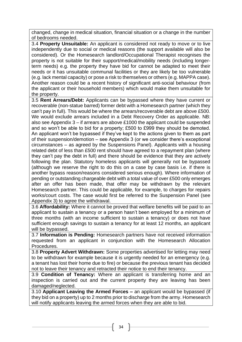changed, change in medical situation, financial situation or a change in the number of bedrooms needed.

3.4 **Property Unsuitable:** An applicant is considered not ready to move or to live independently due to social or medical reasons (the support available will also be considered). Or the Homesearch landlord/Occupational Therapist recognises the property is not suitable for their support/medical/mobility needs (including longerterm needs) e.g. the property they have bid for cannot be adapted to meet their needs or it has unsuitable communal facilities or they are likely be too vulnerable (e.g. lack mental capacity) or pose a risk to themselves or others (e.g. MAPPA case). Another reason could be a recent history of significant anti-social behaviour (from the applicant or their household members) which would make them unsuitable for the property.

3.5 **Rent Arrears/Debt:** Applicants can be bypassed where they have current or recoverable (non-statue barred) former debt with a Homesearch partner (which they can't pay in full). This would be where the arrears/recoverable debt are above £500. We would exclude arrears included in a Debt Recovery Order as applicable. NB: also see Appendix 3 – if arrears are above £1000 the applicant could be suspended and so won't be able to bid for a property; £500 to £999 they should be demoted. An applicant won't be bypassed if they've kept to the actions given to them as part of their suspension/demotion – see Appendix 3 (or we consider there's exceptional circumstances – as agreed by the Suspensions Panel). Applicants with a housing related debt of less than £500 rent should have agreed to a repayment plan (where they can't pay the debt in full) and there should be evidence that they are actively following the plan. Statutory homeless applicants will generally not be bypassed (although we reserve the right to do this on a case by case basis i.e. if there is another bypass reason/reasons considered serious enough). Where information of pending or outstanding chargeable debt with a total value of over £500 only emerges after an offer has been made, that offer may be withdrawn by the relevant Homesearch partner. This could be applicable, for example, to charges for repairs works/court costs. The case would first be referred to the Suspension Panel (see Appendix 3) to agree the withdrawal.

3.6 **Affordability:** Where it cannot be proved that welfare benefits will be paid to an applicant to sustain a tenancy or a person hasn't been employed for a minimum of three months (with an income sufficient to sustain a tenancy) or does not have sufficient enough savings to sustain a tenancy for at least 12 months, an applicant will be bypassed.

3.7 **Information is Pending:** Homesearch partners have not received information requested from an applicant in conjunction with the Homesearch Allocation Procedures.

3.8 **Property Advert Withdrawn:** Some properties advertised for letting may need to be withdrawn for example because it is urgently needed for an emergency (e.g. a tenant has lost their home due to fire) or because the previous tenant has decided not to leave their tenancy and retracted their notice to end their tenancy.

3.9 **Condition of Tenancy:** Where an applicant is transferring home and an inspection is carried out and the current property they are leaving has been damaged/neglected.

3.10 **Applicant Leaving the Armed Forces –** an applicant would be bypassed (if they bid on a property) up to 2 months prior to discharge from the army. Homesearch will notify applicants leaving the armed forces when they are able to bid.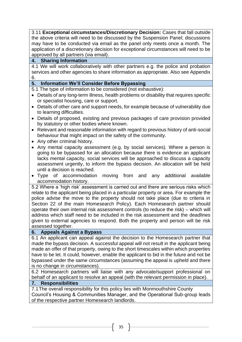3.11 **Exceptional circumstances/Discretionary Decision:** Cases that fall outside the above criteria will need to be discussed by the Suspension Panel; discussions may have to be conducted via email as the panel only meets once a month. The application of a discretionary decision for exceptional circumstances will need to be approved by all partners (via email).

# **4. Sharing Information**

4.1 We will work collaboratively with other partners e.g. the police and probation services and other agencies to share information as appropriate. Also see Appendix 6.

# **5. Information We'll Consider Before Bypassing**

5.1 The type of information to be considered (not exhaustive):

- Details of any long-term illness, health problems or disability that requires specific or specialist housing, care or support.
- Details of other care and support needs, for example because of vulnerability due to learning difficulties.
- Details of proposed, existing and previous packages of care provision provided by statutory or other bodies where known.
- Relevant and reasonable information with regard to previous history of anti-social behaviour that might impact on the safety of the community.
- Any other criminal history.
- Any mental capacity assessment (e.g. by social services). Where a person is going to be bypassed for an allocation because there is evidence an applicant lacks mental capacity, social services will be approached to discuss a capacity assessment urgently, to inform the bypass decision. An allocation will be held until a decision is reached.
- Type of accommodation moving from and any additional available accommodation history.

5.2 Where a 'high risk' assessment is carried out and there are serious risks which relate to the applicant being placed in a particular property or area. For example the police advise the move to the property should not take place (due to criteria in Section 22 of the main Homesearch Policy). Each Homesearch partner should operate their own internal risk assessment controls (to reduce the risk) – which will address which staff need to be included in the risk assessment and the deadlines given to external agencies to respond. Both the property and person will be risk assessed together.

# **6. Appeals Against a Bypass**

6.1 An applicant can appeal against the decision to the Homesearch partner that made the bypass decision. A successful appeal will not result in the applicant being made an offer of that property, owing to the short timescales within which properties have to be let. It could, however, enable the applicant to bid in the future and not be bypassed under the same circumstances (assuming the appeal is upheld and there is no change in circumstances).

6.2 Homesearch partners will liaise with any advocate/support professional on behalf of an applicant to resolve an appeal (with the relevant permission in place).

# **7. Responsibilities**

7.1The overall responsibility for this policy lies with Monmouthshire County Council's Housing & Communities Manager, and the Operational Sub-group leads of the respective partner Homesearch landlords.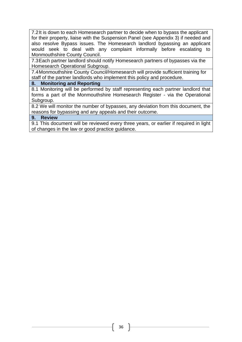7.2It is down to each Homesearch partner to decide when to bypass the applicant for their property, liaise with the Suspension Panel (see Appendix 3) if needed and also resolve Bypass issues. The Homesearch landlord bypassing an applicant would seek to deal with any complaint informally before escalating to Monmouthshire County Council.

7.3Each partner landlord should notify Homesearch partners of bypasses via the Homesearch Operational Subgroup.

7.4Monmouthshire County Council/Homesearch will provide sufficient training for staff of the partner landlords who implement this policy and procedure.

# **8. Monitoring and Reporting**

8.1 Monitoring will be performed by staff representing each partner landlord that forms a part of the Monmouthshire Homesearch Register - via the Operational Subgroup.

8.2 We will monitor the number of bypasses, any deviation from this document, the reasons for bypassing and any appeals and their outcome.

#### **9. Review**

9.1 This document will be reviewed every three years, or earlier if required in light of changes in the law or good practice guidance.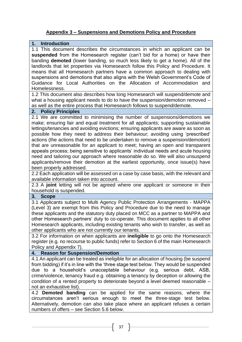# **Appendix 3 – Suspensions and Demotions Policy and Procedure**

#### **1. Introduction**

1.1 This document describes the circumstances in which an applicant can be **suspended** from the Homesearch register (can't bid for a home) or have their banding **demoted** (lower banding, so much less likely to get a home). All of the landlords that let properties via Homesearch follow this Policy and Procedure. It means that all Homesearch partners have a common approach to dealing with suspensions and demotions that also aligns with the Welsh Government's Code of Guidance for Local Authorities on the Allocation of Accommodation and Homelessness.

1.2 This document also describes how long Homesearch will suspend/demote and what a housing applicant needs to do to have the suspension/demotion removed – as well as the entire process that Homesearch follows to suspend/demote.

#### **2. Policy Principles**

2.1 We are committed to minimising the number of suspensions/demotions we make; ensuring fair and equal treatment for all applicants; supporting sustainable lettings/tenancies and avoiding evictions; ensuring applicants are aware as soon as possible how they need to address their behaviour; avoiding using 'prescribed' actions (the actions that need to be undertaken to remove a suspension/demotion) that are unreasonable for an applicant to meet; having an open and transparent appeals process; being sensitive to applicants' individual needs and acute housing need and tailoring our approach where reasonable do so. We will also unsuspend applicants/remove their demotion at the earliest opportunity, once issue(s) have been properly addressed.

2.2 Each application will be assessed on a case by case basis, with the relevant and available information taken into account.

2.3 A **joint** letting will not be agreed where one applicant or someone in their household is suspended.

#### **3. Scope**

3.1 Applicants subject to Multi Agency Public Protection Arrangements - MAPPA (Level 3) are exempt from this Policy and Procedure due to the need to manage these applicants and the statutory duty placed on MCC as a partner to MAPPA and other Homesearch partners' duty to co-operate. This document applies to all other Homesearch applicants, including existing tenants who wish to transfer, as well as other applicants who are not currently our tenants.

3.2 For information on when applicants are **ineligible** to go onto the Homesearch register (e.g. no recourse to public funds) refer to Section 6 of the main Homesearch Policy and Appendix 7).

#### **4. Reason for Suspension/Demotion**

4.1 An applicant can be treated as ineligible for an allocation of housing (be suspend from bidding) if it's in line with the 'three stage test below. They would be suspended due to a household's unacceptable behaviour (e.g. serious debt, ASB, crime/violence, tenancy fraud e.g. obtaining a tenancy by deception or allowing the condition of a rented property to deteriorate beyond a level deemed reasonable – not an exhaustive list).

4.2 **Demoted banding** can be applied for the same reasons, where the circumstances aren't serious enough to meet the three-stage test below. Alternatively, demotion can also take place where an applicant refuses a certain numbers of offers – see Section 5.6 below.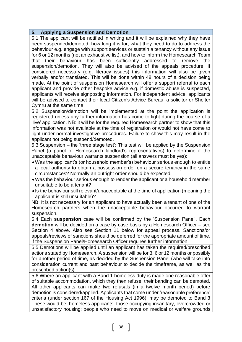#### **5. Applying a Suspension and Demotion**

5.1 The applicant will be notified in writing and it will be explained why they have been suspended/demoted, how long it is for, what they need to do to address the behaviour e.g. engage with support services or sustain a tenancy without any issue for 6 or 12 months (not an exhaustive list), and how to inform the Homesearch Team that their behaviour has been sufficiently addressed to remove the suspension/demotion. They will also be advised of the appeals procedure. If considered necessary (e.g. literacy issues) this information will also be given verbally and/or translated. This will be done within 48 hours of a decision being made. At the point of suspension Homesearch will offer a support referral to each applicant and provide other bespoke advice e.g. if domestic abuse is suspected, applicants will receive signposting information. For independent advice, applicants will be advised to contact their local Citizen's Advice Bureau, a solicitor or Shelter Cymru at the same time.

5.2 Suspension/demotion will be implemented at the point the application is registered unless any further information has come to light during the course of a 'live' application. NB: it will be for the required Homesearch partner to show that this information was not available at the time of registration or would not have come to light under normal investigative procedures. Failure to show this may result in the applicant not being suspend/demoted.

5.3 Suspension – the 'three stage test': This test will be applied by the Suspension Panel (a panel of Homesearch landlord's representatives) to determine if the unacceptable behaviour warrants suspension (all answers must be yes):

- •Was the applicant's (or household member's) behaviour serious enough to entitle a local authority to obtain a possession order on a secure tenancy in the same circumstances? Normally an outright order should be expected.
- •Was the behaviour serious enough to render the applicant or a household member unsuitable to be a tenant?
- Is the behaviour still relevant/unacceptable at the time of application (meaning the applicant is still unsuitable)?

NB: It is not necessary for an applicant to have actually been a tenant of one of the Homesearch partners when the unacceptable behaviour occurred to warrant suspension.

5.4 Each **suspension** case will be confirmed by the 'Suspension Panel'. Each **demotion** will be decided on a case by case basis by a Homesearch Officer – see Section 4 above. Also see Section 11 below for appeal process. Sanctions/or appeals/reviews of sanctions should be deferred for the appropriate amount of time, if the Suspension Panel/Homesearch Officer requires further information.

5.5 Demotions will be applied until an applicant has taken the required/prescribed actions stated by Homesearch. A suspension will be for 3, 6 or 12 months or possibly for another period of time, as decided by the Suspension Panel (who will take into consideration current and past behaviour to decide the timeframe, as well as the prescribed action(s).

5.6 Where an applicant with a Band 1 homeless duty is made one reasonable offer of suitable accommodation, which they then refuse, their banding can be demoted. All other applicants can make two refusals (in a twelve month period) before demotion is considered/applied. Applicants that come under 'reasonable preference' criteria (under section 167 of the Housing Act 1996), may be demoted to Band 3 These would be: homeless applicants; those occupying insanitary, overcrowded or unsatisfactory housing; people who need to move on medical or welfare grounds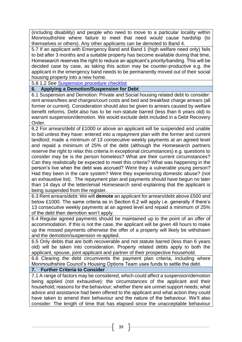(including disability) and people who need to move to a particular locality within Monmouthshire where failure to meet that need would cause hardship (to themselves or others). Any other applicants can be demoted to Band 4.

5.7 If an applicant with Emergency Band and Band 1 (high welfare need only) fails to bid after 3 months and a suitable property has become available during that time, Homesearch reserves the right to reduce an applicant's priority/banding. This will be decided case by case, as taking this action may be counter-productive e.g. the applicant in the emergency band needs to be permanently moved out of their social housing property into a new home.

5.8 1.2 See [Suspension procedure checklist](file://///mhasvr05.mha.local/mha/Housing%20&%20Communities/Monmouthshire%20Homesearch/2016_Homesearch/User%20Guides/Checklist%20&%20procedures/Exclusions%20Checklist_Oct2021.docx)

# **6. Applying a Demotion/Suspension for Debt**

6.1 Suspension and Demotion: Private and Social housing related debt to consider: rent arrears/fees and charges/court costs and bed and breakfast charge arrears (all former or current). Consideration should also be given to arrears caused by welfare benefit reforms. Debt also has to be non-statute barred (less than 6 years old) to warrant suspension/demotion. We would exclude debt included in a Debt Recovery Order.

6.2 For arrears/debt of £1000 or above an applicant will be suspended and unable to bid unless they have: entered into a repayment plan with the former and current landlord; made a minimum of 13 consecutive weekly payments at an agreed level and repaid a minimum of 25% of the debt (although the Homesearch partners reserve the right to relax this criteria in exceptional circumstances) e.g. questions to consider may be is the person homeless? What are their current circumstances? Can they realistically be expected to meet this criteria? What was happening in the person's live when the debt was accrued? Were they a vulnerable young person? Had they been in the care system? Were they experiencing domestic abuse? (not an exhaustive list). The repayment plan and payments should have begun no later than 14 days of the letter/email Homesearch send explaining that the applicant is being suspended from the register.

6.3 Rent arrears/debt: We will **demote** an applicant for arrears/debt above £500 and below £1000. The same criteria as in Section 6.2 will apply i.e. generally if there's 13 consecutive weekly payments at an agreed level and repaid a minimum of 25% of the debt then demotion won't apply.

6.4 Regular agreed payments should be maintained up to the point of an offer of accommodation. If this is not the case, the applicant will be given 48 hours to make up the missed payments otherwise the offer of a property will likely be withdrawn and the demotion/suspension re-applied.

6.5 Only debts that are both recoverable and not statute barred (less than 6 years old) will be taken into consideration. Property related debts apply to both the applicant, spouse, joint applicant and partner of their prospective household.

6.6 Clearing the debt circumvents the payment plan criteria, including where Monmouthshire Council's Housing Options Team uses funds to settle the debt.

# **7. Further Criteria to Consider**

7.1 A range of factors may be considered, which could affect a suspension/demotion being applied (not exhaustive): the circumstances of the applicant and their household; reasons for the behaviour; whether there are unmet support needs; what advice and assistance had been offered to the applicant and what action they could have taken to amend their behaviour and the nature of the behaviour. We'll also consider: The length of time that has elapsed since the unacceptable behaviour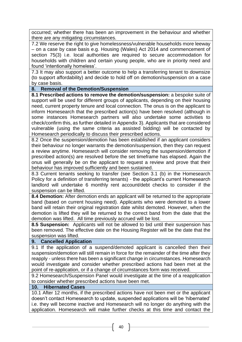occurred; whether there has been an improvement in the behaviour and whether there are any mitigating circumstances.

7.2 We reserve the right to give homelessness/vulnerable households more leeway – on a case by case basis e.g. Housing (Wales) Act 2014 and commencement of section 75(3) i.e. local authorities are required to secure accommodation for households with children and certain young people, who are in priority need and found 'intentionally homeless'.

7.3 It may also support a better outcome to help a transferring tenant to downsize (to support affordability) and decide to hold off on demotion/suspension on a case by case basis.

# **8. Removal of the Demotion/Suspension**

**8.1 Prescribed actions to remove the demotion/suspension:** a bespoke suite of support will be used for different groups of applicants, depending on their housing need, current property tenure and local connection. The onus is on the applicant to inform Homesearch that the prescribed action(s) have been resolved (although in some instances Homesearch partners will also undertake some activities to check/confirm this, as further detailed in Appendix 3). Applicants that are considered vulnerable (using the same criteria as assisted bidding) will be contacted by Homesearch periodically to discuss their prescribed actions.

8.2 Once the suspension/demotion has been established if an applicant considers their behaviour no longer warrants the demotion/suspension, then they can request a review anytime. Homesearch will consider removing the suspension/demotion if prescribed action(s) are resolved before the set timeframe has elapsed. Again the onus will generally be on the applicant to request a review and prove that their behaviour has improved sufficiently and been sustained.

8.3 Current tenants seeking to transfer (see Section 3.1 (b) in the Homesearch Policy for a definition of transferring tenants) - the applicant's current Homesearch landlord will undertake 6 monthly rent account/debt checks to consider if the suspension can be lifted.

**8.4 Demotion:** After demotion ends an applicant will be returned to the appropriate band (based on current housing need). Applicants who were demoted to a lower band will retain their original registration date whilst demoted. However, when the demotion is lifted they will be returned to the correct band from the date that the demotion was lifted. All time previously accrued will be lost.

**8.5 Suspension:** Applicants will not be allowed to bid until their suspension has been removed. The effective date on the Housing Register will be the date that the suspension was lifted.

#### **9. Cancelled Application**

9.1 If the application of a suspend/demoted applicant is cancelled then their suspension/demotion will still remain in force for the remainder of the time after they reapply - unless there has been a significant change in circumstances. Homesearch would investigate and consider whether prescribed actions had been met at the point of re-application, or if a change of circumstances form was received.

9.2 Homesearch/Suspension Panel would investigate at the time of a reapplication to consider whether prescribed actions have been met.

#### **10. Hibernated Cases**

10.1 After 12 months, if the prescribed actions have not been met or the applicant doesn't contact Homesearch to update, suspended applications will be 'hibernated' i.e. they will become inactive and Homesearch will no longer do anything with the application. Homesearch will make further checks at this time and contact the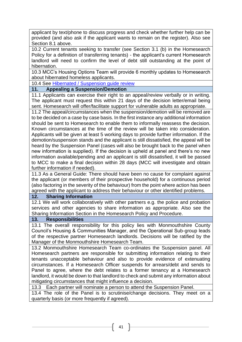applicant by text/phone to discuss progress and check whether further help can be provided (and also ask if the applicant wants to remain on the register). Also see Section 8.1 above.

10.2 Current tenants seeking to transfer (see Section 3.1 (b) in the Homesearch Policy for a definition of transferring tenants) - the applicant's current Homesearch landlord will need to confirm the level of debt still outstanding at the point of hibernation.

10.3 MCC's Housing Options Team will provide 6 monthly updates to Homesearch about hibernated homeless applicants.

10.4 See [Hibernated / Suspension guide review](file://///mhasvr05.mha.local/mha/Housing%20&%20Communities/Monmouthshire%20Homesearch/2016_Homesearch/User%20Guides/Checklist%20&%20procedures/Exclusion%20Review%20Checklist.docx)

#### **11. Appealing a Suspension/Demotion**

11.1 Applicants can exercise their right to an appeal/review verbally or in writing. The applicant must request this within 21 days of the decision letter/email being sent. Homesearch will offer/facilitate support for vulnerable adults as appropriate.

11.2 The appeal/circumstances when the suspension/demotion will be removed are to be decided on a case by case basis. In the first instance any additional information should be sent to Homesearch to enable them to informally reassess the decision. Known circumstances at the time of the review will be taken into consideration. Applicants will be given at least 5 working days to provide further information. If the demotion/suspension stands and the applicant is still dissatisfied, the appeal will be heard by the Suspension Panel (cases will also be brought back to the panel when new information is supplied). If the decision is upheld at panel and there's no new information available/pending and an applicant is still dissatisfied, it will be passed to MCC to make a final decision within 28 days (MCC will investigate and obtain further information if needed).

11.3 As a General Guide: There should have been no cause for complaint against the applicant (or members of their prospective household) for a continuous period (also factoring in the severity of the behaviour) from the point where action has been agreed with the applicant to address their behaviour or other identified problems.

#### **12. Sharing Information**

12.1 We will work collaboratively with other partners e.g. the police and probation services and other agencies to share information as appropriate. Also see the Sharing Information Section in the Homesearch Policy and Procedure.

#### **13. Responsibilities**

13.1 The overall responsibility for this policy lies with Monmouthshire County Council's Housing & Communities Manager, and the Operational Sub-group leads of the respective partner Homesearch landlords. Decisions will be ratified by the Manager of the Monmouthshire Homesearch Team.

13.2 Monmouthshire Homesearch Team co-ordinates the Suspension panel. All Homesearch partners are responsible for submitting information relating to their tenants unacceptable behaviour and also to provide evidence of extenuating circumstances. If a Homesearch Officer suspends for arrears/debt and sends to Panel to agree, where the debt relates to a former tenancy at a Homesearch landlord, it would be down to that landlord to check and submit any information about mitigating circumstances that might influence a decision.

13.3 Each partner will nominate a person to attend the Suspension Panel.

13.4 The role of the Panel is to scrutinise/change decisions. They meet on a quarterly basis (or more frequently if agreed).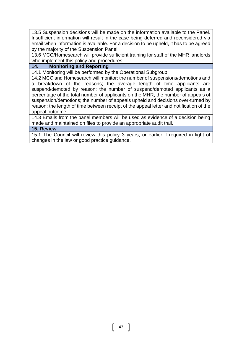13.5 Suspension decisions will be made on the information available to the Panel. Insufficient information will result in the case being deferred and reconsidered via email when information is available. For a decision to be upheld, it has to be agreed by the majority of the Suspension Panel.

13.6 MCC/Homesearch will provide sufficient training for staff of the MHR landlords who implement this policy and procedures.

# **14. Monitoring and Reporting**

14.1 Monitoring will be performed by the Operational Subgroup.

14.2 MCC and Homesearch will monitor: the number of suspensions/demotions and a breakdown of the reasons; the average length of time applicants are suspend/demoted by reason; the number of suspend/demoted applicants as a percentage of the total number of applicants on the MHR; the number of appeals of suspension/demotions; the number of appeals upheld and decisions over-turned by reason; the length of time between receipt of the appeal letter and notification of the appeal outcome.

14.3 Emails from the panel members will be used as evidence of a decision being made and maintained on files to provide an appropriate audit trail.

#### **15. Review**

15.1 The Council will review this policy 3 years, or earlier if required in light of changes in the law or good practice guidance.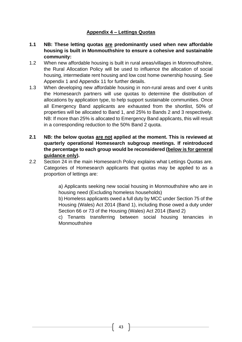# **Appendix 4 – Lettings Quotas**

- **1.1 NB: These letting quotas are predominantly used when new affordable housing is built in Monmouthshire to ensure a cohesive and sustainable community:**
- 1.2 When new affordable housing is built in rural areas/villages in Monmouthshire, the Rural Allocation Policy will be used to influence the allocation of social housing, intermediate rent housing and low cost home ownership housing. See Appendix 1 and Appendix 11 for further details.
- 1.3 When developing new affordable housing in non-rural areas and over 4 units the Homesearch partners will use quotas to determine the distribution of allocations by application type, to help support sustainable communities. Once all Emergency Band applicants are exhausted from the shortlist, 50% of properties will be allocated to Band 1, and 25% to Bands 2 and 3 respectively. NB: If more than 25% is allocated to Emergency Band applicants, this will result in a corresponding reduction to the 50% Band 2 quota.
- **2.1 NB: the below quotas are not applied at the moment. This is reviewed at quarterly operational Homesearch subgroup meetings. If reintroduced the percentage to each group would be reconsidered (below is for general guidance only).**
- 2.2 Section 24 in the main Homesearch Policy explains what Lettings Quotas are. Categories of Homesearch applicants that quotas may be applied to as a proportion of lettings are:

a) Applicants seeking new social housing in Monmouthshire who are in housing need (Excluding homeless households)

b) Homeless applicants owed a full duty by MCC under Section 75 of the Housing (Wales) Act 2014 (Band 1), including those owed a duty under Section 66 or 73 of the Housing (Wales) Act 2014 (Band 2)

c) Tenants transferring between social housing tenancies in **Monmouthshire**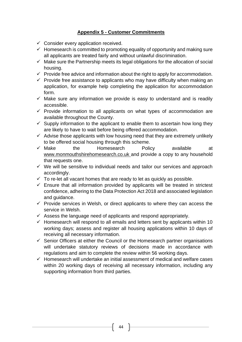# **Appendix 5 - Customer Commitments**

- $\checkmark$  Consider every application received.
- $\checkmark$  Homesearch is committed to promoting equality of opportunity and making sure all applicants are treated fairly and without unlawful discrimination.
- $\checkmark$  Make sure the Partnership meets its legal obligations for the allocation of social housing.
- $\checkmark$  Provide free advice and information about the right to apply for accommodation.
- $\checkmark$  Provide free assistance to applicants who may have difficulty when making an application, for example help completing the application for accommodation form.
- $\checkmark$  Make sure any information we provide is easy to understand and is readily accessible.
- $\checkmark$  Provide information to all applicants on what types of accommodation are available throughout the County.
- $\checkmark$  Supply information to the applicant to enable them to ascertain how long they are likely to have to wait before being offered accommodation.
- $\checkmark$  Advise those applicants with low housing need that they are extremely unlikely to be offered social housing through this scheme.
- $\checkmark$  Make the Homesearch Policy available at [www.monmouthshirehomesearch.co.uk](http://www.monmouthshirehomesearch.co.uk/) and provide a copy to any household that requests one.
- ✓ We will be sensitive to individual needs and tailor our services and approach accordingly.
- $\checkmark$  To re-let all vacant homes that are ready to let as quickly as possible.
- $\checkmark$  Ensure that all information provided by applicants will be treated in strictest confidence, adhering to the Data Protection Act 2018 and associated legislation and guidance.
- $\checkmark$  Provide services in Welsh, or direct applicants to where they can access the service in Welsh.
- $\checkmark$  Assess the language need of applicants and respond appropriately.
- $\checkmark$  Homesearch will respond to all emails and letters sent by applicants within 10 working days; assess and register all housing applications within 10 days of receiving all necessary information.
- $\checkmark$  Senior Officers at either the Council or the Homesearch partner organisations will undertake statutory reviews of decisions made in accordance with regulations and aim to complete the review within 56 working days.
- $\checkmark$  Homesearch will undertake an initial assessment of medical and welfare cases within 20 working days of receiving all necessary information, including any supporting information from third parties.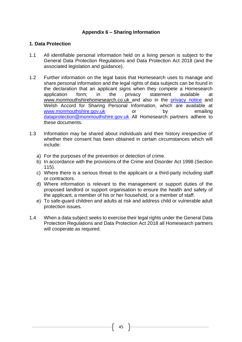# **Appendix 6 – Sharing Information**

## **1. Data Protection**

- 1.1 All identifiable personal information held on a living person is subject to the General Data Protection Regulations and Data Protection Act 2018 (and the associated legislation and guidance).
- 1.2 Further information on the legal basis that Homesearch uses to manage and share personal information and the legal rights of data subjects can be found in the declaration that an applicant signs when they compete a Homesearch application form; in the privacy statement available at [www.monmouthshirehomesearch.co.uk](http://www.monmouthshirehomesearch.co.uk/) and also in the [privacy notice](https://www.sectortest.co.uk/PublicSite/Monmouthshire/Choice/content.aspx?pageid=84) and Welsh Accord for Sharing Personal Information, which are available at [www.monmouthshire.gov.uk](http://www.monmouthshire.gov.uk/) or by emailing [dataprotection@monmouthshire.gov.uk](mailto:dataprotection@monmouthshire.gov.uk) All Homesearch partners adhere to these documents.
- 1.3 Information may be shared about individuals and their history irrespective of whether their consent has been obtained in certain circumstances which will include:
	- a) For the purposes of the prevention or detection of crime.
	- b) In accordance with the provisions of the Crime and Disorder Act 1998 (Section 115).
	- c) Where there is a serious threat to the applicant or a third-party including staff or contractors.
	- d) Where information is relevant to the management or support duties of the proposed landlord or support organisation to ensure the health and safety of the applicant, a member of his or her household, or a member of staff.
	- e) To safe-guard children and adults at risk and address child or vulnerable adult protection issues.
- 1.4 When a data subject seeks to exercise their legal rights under the General Data Protection Regulations and Data Protection Act 2018 all Homesearch partners will cooperate as required.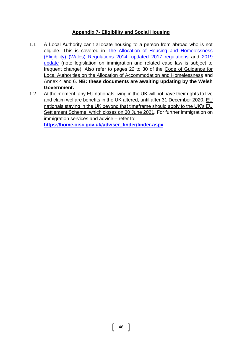# **Appendix 7- Eligibility and Social Housing**

- 1.1 A Local Authority can't allocate housing to a person from abroad who is not eligible. This is covered in [The Allocation of Housing and Homelessness](http://www.legislation.gov.uk/wsi/2014/2603/made)  [\(Eligibility\) \(Wales\) Regulations](http://www.legislation.gov.uk/wsi/2014/2603/made) 2014, [updated 2017 regulations](http://www.legislation.gov.uk/wsi/2017/698/contents/made) and [2019](http://www.legislation.gov.uk/wsi/2019/1041/contents/made)  [update](http://www.legislation.gov.uk/wsi/2019/1041/contents/made) (note legislation on immigration and related case law is subject to frequent change). Also refer to pages 22 to 30 of the Code of Guidance for Local Authorities on the Allocation of Accommodation and Homelessness and Annex 4 and 6. **NB: these documents are awaiting updating by the Welsh Government.**
- 1.2 At the moment, any EU nationals living in the UK will not have their rights to live and claim welfare benefits in the UK altered, until after 31 December 2020. [EU](https://www.gov.uk/settled-status-eu-citizens-families)  [nationals staying in the UK beyond that timeframe should apply to the UK's EU](https://www.gov.uk/settled-status-eu-citizens-families)  [Settlement Scheme,](https://www.gov.uk/settled-status-eu-citizens-families) which closes on 30 June 2021. For further immigration on immigration services and advice – refer to:

**[https://home.oisc.gov.uk/adviser\\_finder/finder.aspx](https://home.oisc.gov.uk/adviser_finder/finder.aspx)**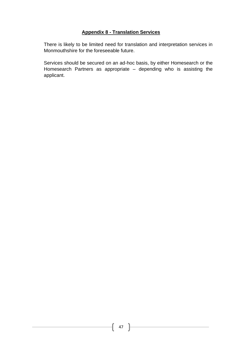# **Appendix 8 - Translation Services**

There is likely to be limited need for translation and interpretation services in Monmouthshire for the foreseeable future.

Services should be secured on an ad-hoc basis, by either Homesearch or the Homesearch Partners as appropriate – depending who is assisting the applicant.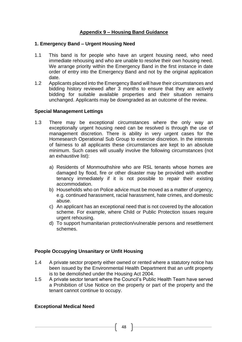# **Appendix 9 – Housing Band Guidance**

#### **1. Emergency Band – Urgent Housing Need**

- 1.1 This band is for people who have an urgent housing need, who need immediate rehousing and who are unable to resolve their own housing need. We arrange priority within the Emergency Band in the first instance in date order of entry into the Emergency Band and not by the original application date.
- 1.2 Applicants placed into the Emergency Band will have their circumstances and bidding history reviewed after 3 months to ensure that they are actively bidding for suitable available properties and their situation remains unchanged. Applicants may be downgraded as an outcome of the review.

#### **Special Management Lettings**

- 1.3 There may be exceptional circumstances where the only way an exceptionally urgent housing need can be resolved is through the use of management discretion. There is ability in very urgent cases for the Homesearch Operational Sub Group to exercise discretion. In the interests of fairness to all applicants these circumstances are kept to an absolute minimum. Such cases will usually involve the following circumstances (not an exhaustive list):
	- a) Residents of Monmouthshire who are RSL tenants whose homes are damaged by flood, fire or other disaster may be provided with another tenancy immediately if it is not possible to repair their existing accommodation.
	- b) Households who on Police advice must be moved as a matter of urgency, e.g. continued harassment, racial harassment, hate crimes, and domestic abuse.
	- c) An applicant has an exceptional need that is not covered by the allocation scheme. For example, where Child or Public Protection issues require urgent rehousing.
	- d) To support humanitarian protection/vulnerable persons and resettlement schemes.

# **People Occupying Unsanitary or Unfit Housing**

- 1.4 A private sector property either owned or rented where a statutory notice has been issued by the Environmental Health Department that an unfit property is to be demolished under the Housing Act 2004.
- 1.5 A private sector tenant where the Council's Public Health Team have served a Prohibition of Use Notice on the property or part of the property and the tenant cannot continue to occupy.

#### **Exceptional Medical Need**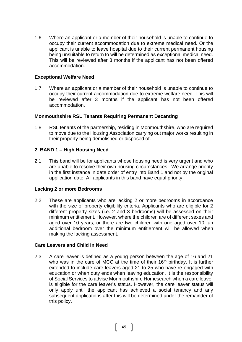1.6 Where an applicant or a member of their household is unable to continue to occupy their current accommodation due to extreme medical need. Or the applicant is unable to leave hospital due to their current permanent housing being unsuitable to return to will be determined as exceptional medical need. This will be reviewed after 3 months if the applicant has not been offered accommodation.

#### **Exceptional Welfare Need**

1.7 Where an applicant or a member of their household is unable to continue to occupy their current accommodation due to extreme welfare need. This will be reviewed after 3 months if the applicant has not been offered accommodation.

#### **Monmouthshire RSL Tenants Requiring Permanent Decanting**

1.8 RSL tenants of the partnership, residing in Monmouthshire, who are required to move due to the Housing Association carrying out major works resulting in their property being demolished or disposed of.

# **2. BAND 1 – High Housing Need**

2.1 This band will be for applicants whose housing need is very urgent and who are unable to resolve their own housing circumstances. We arrange priority in the first instance in date order of entry into Band 1 and not by the original application date. All applicants in this band have equal priority.

#### **Lacking 2 or more Bedrooms**

2.2 These are applicants who are lacking 2 or more bedrooms in accordance with the size of property eligibility criteria. Applicants who are eligible for 2 different property sizes (i.e. 2 and 3 bedrooms) will be assessed on their minimum entitlement. However, where the children are of different sexes and aged over 10 years, or there are two children with one aged over 10, an additional bedroom over the minimum entitlement will be allowed when making the lacking assessment.

#### **Care Leavers and Child in Need**

2.3 A care leaver is defined as a young person between the age of 16 and 21 who was in the care of MCC at the time of their  $16<sup>th</sup>$  birthday. It is further extended to include care leavers aged 21 to 25 who have re-engaged with education or when duty ends when leaving education. It is the responsibility of Social Services to advise Monmouthshire Homesearch when a care leaver is eligible for the care leaver's status. However, the care leaver status will only apply until the applicant has achieved a social tenancy and any subsequent applications after this will be determined under the remainder of this policy.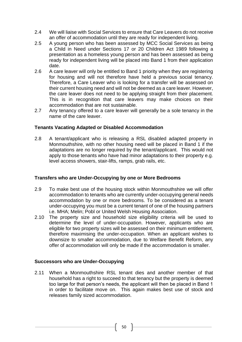- 2.4 We will liaise with Social Services to ensure that Care Leavers do not receive an offer of accommodation until they are ready for independent living.
- 2.5 A young person who has been assessed by MCC Social Services as being a Child in Need under Sections 17 or 20 Children Act 1989 following a presentation as a homeless young person and has been assessed as being ready for independent living will be placed into Band 1 from their application date.
- 2.6 A care leaver will only be entitled to Band 1 priority when they are registering for housing and will not therefore have held a previous social tenancy. Therefore, a Care Leaver who is looking for a transfer will be assessed on their current housing need and will not be deemed as a care leaver. However, the care leaver does not need to be applying straight from their placement. This is in recognition that care leavers may make choices on their accommodation that are not sustainable.
- 2.7 Any tenancy offered to a care leaver will generally be a sole tenancy in the name of the care leaver.

#### **Tenants Vacating Adapted or Disabled Accommodation**

2.8 A tenant/applicant who is releasing a RSL disabled adapted property in Monmouthshire, with no other housing need will be placed in Band 1 if the adaptations are no longer required by the tenant/applicant. This would not apply to those tenants who have had minor adaptations to their property e.g. level access showers, stair-lifts, ramps, grab rails, etc.

#### **Transfers who are Under-Occupying by one or More Bedrooms**

- 2.9 To make best use of the housing stock within Monmouthshire we will offer accommodation to tenants who are currently under-occupying general needs accommodation by one or more bedrooms. To be considered as a tenant under-occupying you must be a current tenant of one of the housing partners i.e. MHA; Melin; Pobl or United Welsh Housing Association.
- 2.10 The property size and household size eligibility criteria will be used to determine the level of under-occupation. However, applicants who are eligible for two property sizes will be assessed on their minimum entitlement, therefore maximising the under-occupation. When an applicant wishes to downsize to smaller accommodation, due to Welfare Benefit Reform, any offer of accommodation will only be made if the accommodation is smaller.

# **Successors who are Under-Occupying**

2.11 When a Monmouthshire RSL tenant dies and another member of that household has a right to succeed to that tenancy but the property is deemed too large for that person's needs, the applicant will then be placed in Band 1 in order to facilitate move on. This again makes best use of stock and releases family sized accommodation.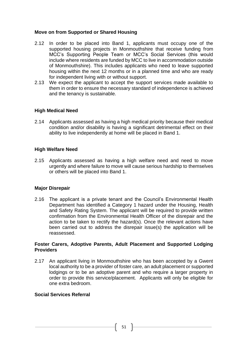#### **Move on from Supported or Shared Housing**

- 2.12 In order to be placed into Band 1, applicants must occupy one of the supported housing projects in Monmouthshire that receive funding from MCC's Supporting People Team or MCC's Social Services (this would include where residents are funded by MCC to live in accommodation outside of Monmouthshire). This includes applicants who need to leave supported housing within the next 12 months or in a planned time and who are ready for independent living with or without support.
- 2.13 We expect the applicant to accept the support services made available to them in order to ensure the necessary standard of independence is achieved and the tenancy is sustainable.

#### **High Medical Need**

2.14 Applicants assessed as having a high medical priority because their medical condition and/or disability is having a significant detrimental effect on their ability to live independently at home will be placed in Band 1.

#### **High Welfare Need**

2.15 Applicants assessed as having a high welfare need and need to move urgently and where failure to move will cause serious hardship to themselves or others will be placed into Band 1.

#### **Major Disrepair**

2.16 The applicant is a private tenant and the Council's Environmental Health Department has identified a Category 1 hazard under the Housing, Health and Safety Rating System. The applicant will be required to provide written confirmation from the Environmental Health Officer of the disrepair and the action to be taken to rectify the hazard(s). Once the relevant actions have been carried out to address the disrepair issue(s) the application will be reassessed.

#### **Foster Carers, Adoptive Parents, Adult Placement and Supported Lodging Providers**

2.17 An applicant living in Monmouthshire who has been accepted by a Gwent local authority to be a provider of foster care, an adult placement or supported lodgings or to be an adoptive parent and who require a larger property in order to provide this service/placement. Applicants will only be eligible for one extra bedroom.

#### **Social Services Referral**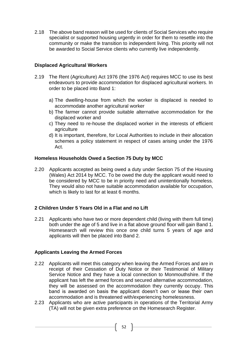2.18 The above band reason will be used for clients of Social Services who require specialist or supported housing urgently in order for them to resettle into the community or make the transition to independent living. This priority will not be awarded to Social Service clients who currently live independently.

## **Displaced Agricultural Workers**

- 2.19 The Rent (Agriculture) Act 1976 (the 1976 Act) requires MCC to use its best endeavours to provide accommodation for displaced agricultural workers. In order to be placed into Band 1:
	- a) The dwelling-house from which the worker is displaced is needed to accommodate another agricultural worker
	- b) The farmer cannot provide suitable alternative accommodation for the displaced worker and
	- c) They need to re-house the displaced worker in the interests of efficient agriculture
	- d) It is important, therefore, for Local Authorities to include in their allocation schemes a policy statement in respect of cases arising under the 1976 Act.

#### **Homeless Households Owed a Section 75 Duty by MCC**

2.20 Applicants accepted as being owed a duty under Section 75 of the Housing (Wales) Act 2014 by MCC. To be owed the duty the applicant would need to be considered by MCC to be in priority need and unintentionally homeless. They would also not have suitable accommodation available for occupation, which is likely to last for at least 6 months.

# **2 Children Under 5 Years Old in a Flat and no Lift**

2.21 Applicants who have two or more dependent child (living with them full time) both under the age of 5 and live in a flat above ground floor will gain Band 1. Homesearch will review this once one child turns 5 years of age and applicants will then be placed into Band 2.

# **Applicants Leaving the Armed Forces**

- 2.22 Applicants will meet this category when leaving the Armed Forces and are in receipt of their Cessation of Duty Notice or their Testimonial of Military Service Notice and they have a local connection to Monmouthshire. If the applicant has left the armed forces and secured alternative accommodation, they will be assessed on the accommodation they currently occupy. This band is awarded on basis the applicant doesn't own or lease their own accommodation and is threatened with/experiencing homelessness.
- 2.23 Applicants who are active participants in operations of the Territorial Army (TA) will not be given extra preference on the Homesearch Register.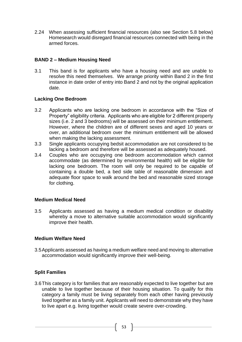2.24 When assessing sufficient financial resources (also see Section 5.8 below) Homesearch would disregard financial resources connected with being in the armed forces.

## **BAND 2 – Medium Housing Need**

3.1 This band is for applicants who have a housing need and are unable to resolve this need themselves. We arrange priority within Band 2 in the first instance in date order of entry into Band 2 and not by the original application date.

#### **Lacking One Bedroom**

- 3.2 Applicants who are lacking one bedroom in accordance with the "Size of Property" eligibility criteria. Applicants who are eligible for 2 different property sizes (i.e. 2 and 3 bedrooms) will be assessed on their minimum entitlement. However, where the children are of different sexes and aged 10 years or over, an additional bedroom over the minimum entitlement will be allowed when making the lacking assessment.
- 3.3 Single applicants occupying bedsit accommodation are not considered to be lacking a bedroom and therefore will be assessed as adequately housed.
- 3.4 Couples who are occupying one bedroom accommodation which cannot accommodate (as determined by environmental health) will be eligible for lacking one bedroom. The room will only be required to be capable of containing a double bed, a bed side table of reasonable dimension and adequate floor space to walk around the bed and reasonable sized storage for clothing.

#### **Medium Medical Need**

3.5 Applicants assessed as having a medium medical condition or disability whereby a move to alternative suitable accommodation would significantly improve their health.

#### **Medium Welfare Need**

3.5Applicants assessed as having a medium welfare need and moving to alternative accommodation would significantly improve their well-being.

# **Split Families**

3.6This category is for families that are reasonably expected to live together but are unable to live together because of their housing situation. To qualify for this category a family must be living separately from each other having previously lived together as a family unit. Applicants will need to demonstrate why they have to live apart e.g. living together would create severe over-crowding.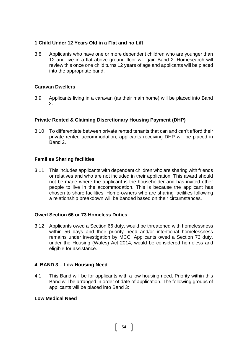# **1 Child Under 12 Years Old in a Flat and no Lift**

3.8 Applicants who have one or more dependent children who are younger than 12 and live in a flat above ground floor will gain Band 2. Homesearch will review this once one child turns 12 years of age and applicants will be placed into the appropriate band.

#### **Caravan Dwellers**

3.9 Applicants living in a caravan (as their main home) will be placed into Band 2.

# **Private Rented & Claiming Discretionary Housing Payment (DHP)**

3.10 To differentiate between private rented tenants that can and can't afford their private rented accommodation, applicants receiving DHP will be placed in Band 2.

#### **Families Sharing facilities**

3.11 This includes applicants with dependent children who are sharing with friends or relatives and who are not included in their application. This award should not be made where the applicant is the householder and has invited other people to live in the accommodation. This is because the applicant has chosen to share facilities. Home-owners who are sharing facilities following a relationship breakdown will be banded based on their circumstances.

#### **Owed Section 66 or 73 Homeless Duties**

3.12 Applicants owed a Section 66 duty, would be threatened with homelessness within 56 days and their priority need and/or intentional homelessness remains under investigation by MCC. Applicants owed a Section 73 duty, under the Housing (Wales) Act 2014, would be considered homeless and eligible for assistance.

#### **4. BAND 3 – Low Housing Need**

4.1 This Band will be for applicants with a low housing need. Priority within this Band will be arranged in order of date of application. The following groups of applicants will be placed into Band 3:

# **Low Medical Need**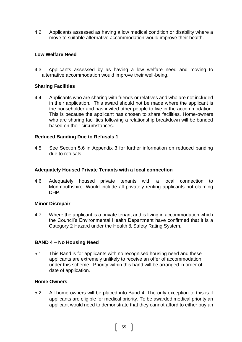4.2 Applicants assessed as having a low medical condition or disability where a move to suitable alternative accommodation would improve their health.

## **Low Welfare Need**

4.3 Applicants assessed by as having a low welfare need and moving to alternative accommodation would improve their well-being.

#### **Sharing Facilities**

4.4 Applicants who are sharing with friends or relatives and who are not included in their application. This award should not be made where the applicant is the householder and has invited other people to live in the accommodation. This is because the applicant has chosen to share facilities. Home-owners who are sharing facilities following a relationship breakdown will be banded based on their circumstances.

#### **Reduced Banding Due to Refusals 1**

4.5 See Section 5.6 in Appendix 3 for further information on reduced banding due to refusals.

#### **Adequately Housed Private Tenants with a local connection**

4.6 Adequately housed private tenants with a local connection to Monmouthshire. Would include all privately renting applicants not claiming DHP.

#### **Minor Disrepair**

4.7 Where the applicant is a private tenant and is living in accommodation which the Council's Environmental Health Department have confirmed that it is a Category 2 Hazard under the Health & Safety Rating System.

#### **BAND 4 – No Housing Need**

5.1 This Band is for applicants with no recognised housing need and these applicants are extremely unlikely to receive an offer of accommodation under this scheme. Priority within this band will be arranged in order of date of application.

#### **Home Owners**

5.2 All home owners will be placed into Band 4. The only exception to this is if applicants are eligible for medical priority. To be awarded medical priority an applicant would need to demonstrate that they cannot afford to either buy an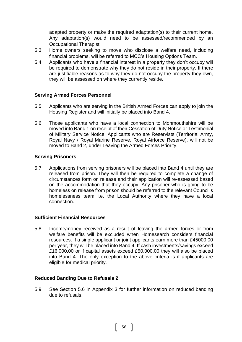adapted property or make the required adaptation(s) to their current home. Any adaptation(s) would need to be assessed/recommended by an Occupational Therapist.

- 5.3 Home owners seeking to move who disclose a welfare need, including financial problems, will be referred to MCC's Housing Options Team.
- 5.4 Applicants who have a financial interest in a property they don't occupy will be required to demonstrate why they do not reside in their property. If there are justifiable reasons as to why they do not occupy the property they own, they will be assessed on where they currently reside.

#### **Serving Armed Forces Personnel**

- 5.5 Applicants who are serving in the British Armed Forces can apply to join the Housing Register and will initially be placed into Band 4.
- 5.6 Those applicants who have a local connection to Monmouthshire will be moved into Band 1 on receipt of their Cessation of Duty Notice or Testimonial of Military Service Notice. Applicants who are Reservists (Territorial Army, Royal Navy / Royal Marine Reserve, Royal Airforce Reserve), will not be moved to Band 2, under Leaving the Armed Forces Priority.

#### **Serving Prisoners**

5.7 Applications from serving prisoners will be placed into Band 4 until they are released from prison. They will then be required to complete a change of circumstances form on release and their application will re-assessed based on the accommodation that they occupy. Any prisoner who is going to be homeless on release from prison should be referred to the relevant Council's homelessness team i.e. the Local Authority where they have a local connection.

#### **Sufficient Financial Resources**

5.8 Income/money received as a result of leaving the armed forces or from welfare benefits will be excluded when Homesearch considers financial resources. If a single applicant or joint applicants earn more than £45000.00 per year, they will be placed into Band 4. If cash investments/savings exceed £16,000.00 or if capital assets exceed £50,000.00 they will also be placed into Band 4. The only exception to the above criteria is if applicants are eligible for medical priority.

#### **Reduced Banding Due to Refusals 2**

5.9 See Section 5.6 in Appendix 3 for further information on reduced banding due to refusals.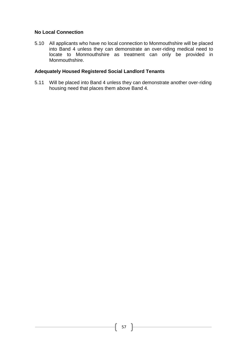# **No Local Connection**

5.10 All applicants who have no local connection to Monmouthshire will be placed into Band 4 unless they can demonstrate an over-riding medical need to locate to Monmouthshire as treatment can only be provided in Monmouthshire.

#### **Adequately Housed Registered Social Landlord Tenants**

5.11 Will be placed into Band 4 unless they can demonstrate another over-riding housing need that places them above Band 4.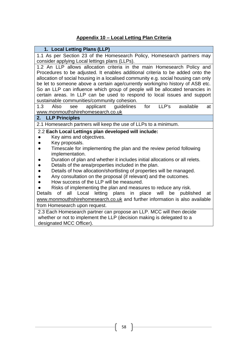# **Appendix 10 – Local Letting Plan Criteria**

| 1. Local Letting Plans (LLP)                                                                             |  |  |  |  |  |  |
|----------------------------------------------------------------------------------------------------------|--|--|--|--|--|--|
| 1.1 As per Section 23 of the Homesearch Policy, Homesearch partners may                                  |  |  |  |  |  |  |
| consider applying Local lettings plans (LLPs).                                                           |  |  |  |  |  |  |
| 1.2 An LLP allows allocation criteria in the main Homesearch Policy and                                  |  |  |  |  |  |  |
| Procedures to be adjusted. It enables additional criteria to be added onto the                           |  |  |  |  |  |  |
| allocation of social housing in a localised community e.g. social housing can only                       |  |  |  |  |  |  |
| be let to someone above a certain age/currently working/no history of ASB etc.                           |  |  |  |  |  |  |
| So an LLP can influence which group of people will be allocated tenancies in                             |  |  |  |  |  |  |
| certain areas. In LLP can be used to respond to local issues and support                                 |  |  |  |  |  |  |
| sustainable communities/community cohesion.                                                              |  |  |  |  |  |  |
| LLP's<br>available<br>1.3<br>applicant<br>for<br>Also<br>guidelines<br>see<br>at                         |  |  |  |  |  |  |
| www.monmouthshirehomesearch.co.uk<br>2.                                                                  |  |  |  |  |  |  |
| <b>LLP Principles</b>                                                                                    |  |  |  |  |  |  |
| 2.1 Homesearch partners will keep the use of LLPs to a minimum.                                          |  |  |  |  |  |  |
| 2.2 Each Local Lettings plan developed will include:                                                     |  |  |  |  |  |  |
| Key aims and objectives.                                                                                 |  |  |  |  |  |  |
| Key proposals.                                                                                           |  |  |  |  |  |  |
| Timescale for implementing the plan and the review period following<br>implementation.                   |  |  |  |  |  |  |
| Duration of plan and whether it includes initial allocations or all relets.                              |  |  |  |  |  |  |
| Details of the area/properties included in the plan.                                                     |  |  |  |  |  |  |
| Details of how allocation/shortlisting of properties will be managed.                                    |  |  |  |  |  |  |
| Any consultation on the proposal (if relevant) and the outcomes.                                         |  |  |  |  |  |  |
| How success of the LLP will be measured.                                                                 |  |  |  |  |  |  |
| Risks of implementing the plan and measures to reduce any risk.                                          |  |  |  |  |  |  |
| <b>of</b><br>all<br>letting<br>plans<br>place<br>will<br>Details<br>Local<br>be<br>published<br>in<br>at |  |  |  |  |  |  |
| www.monmouthshirehomesearch.co.uk and further information is also available                              |  |  |  |  |  |  |
| from Homesearch upon request.                                                                            |  |  |  |  |  |  |
| 2.3 Each Homesearch partner can propose an LLP. MCC will then decide                                     |  |  |  |  |  |  |
| whether or not to implement the LLP (decision making is delegated to a                                   |  |  |  |  |  |  |
| designated MCC Officer).                                                                                 |  |  |  |  |  |  |
|                                                                                                          |  |  |  |  |  |  |

ſ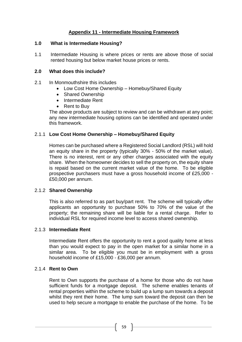# **Appendix 11 - Intermediate Housing Framework**

#### **1.0 What is Intermediate Housing?**

1.1 Intermediate Housing is where prices or rents are above those of social rented housing but below market house prices or rents.

#### **2.0 What does this include?**

- 2.1 In Monmouthshire this includes
	- Low Cost Home Ownership Homebuy/Shared Equity
	- Shared Ownership
	- Intermediate Rent
	- Rent to Buy

The above products are subject to review and can be withdrawn at any point; any new intermediate housing options can be identified and operated under this framework.

#### 2.1.1 **Low Cost Home Ownership – Homebuy/Shared Equity**

Homes can be purchased where a Registered Social Landlord (RSL) will hold an equity share in the property (typically 30% - 50% of the market value). There is no interest, rent or any other charges associated with the equity share. When the homeowner decides to sell the property on, the equity share is repaid based on the current market value of the home. To be eligible prospective purchasers must have a gross household income of £25,000 - £50,000 per annum.

#### 2.1.2 **Shared Ownership**

This is also referred to as part buy/part rent. The scheme will typically offer applicants an opportunity to purchase 50% to 70% of the value of the property; the remaining share will be liable for a rental charge. Refer to individual RSL for required income level to access shared ownership.

#### 2.1.3 **Intermediate Rent**

Intermediate Rent offers the opportunity to rent a good quality home at less than you would expect to pay in the open market for a similar home in a similar area. To be eligible you must be in employment with a gross household income of £15,000 - £36,000 per annum.

# 2.1.4 **Rent to Own**

Rent to Own supports the purchase of a home for those who do not have sufficient funds for a mortgage deposit. The scheme enables tenants of rental properties within the scheme to build up a lump sum towards a deposit whilst they rent their home. The lump sum toward the deposit can then be used to help secure a mortgage to enable the purchase of the home. To be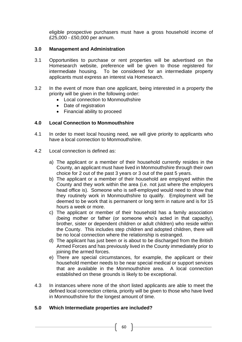eligible prospective purchasers must have a gross household income of £25,000 - £50,000 per annum.

# **3.0 Management and Administration**

- 3.1 Opportunities to purchase or rent properties will be advertised on the Homesearch website, preference will be given to those registered for intermediate housing. To be considered for an intermediate property applicants must express an interest via Homesearch.
- 3.2 In the event of more than one applicant, being interested in a property the priority will be given in the following order:
	- Local connection to Monmouthshire
	- Date of registration
	- Financial ability to proceed

# **4.0 Local Connection to Monmouthshire**

- 4.1 In order to meet local housing need, we will give priority to applicants who have a local connection to Monmouthshire.
- 4.2 Local connection is defined as:
	- a) The applicant or a member of their household currently resides in the County, an applicant must have lived in Monmouthshire through their own choice for 2 out of the past 3 years or 3 out of the past 5 years.
	- b) The applicant or a member of their household are employed within the County and they work within the area (i.e. not just where the employers head office is). Someone who is self-employed would need to show that they routinely work in Monmouthshire to qualify. Employment will be deemed to be work that is permanent or long term in nature and is for 15 hours a week or more.
	- c) The applicant or member of their household has a family association (being mother or father (or someone who's acted in that capacity), brother, sister or dependent children or adult children) who reside within the County. This includes step children and adopted children, there will be no local connection where the relationship is estranged.
	- d) The applicant has just been or is about to be discharged from the British Armed Forces and has previously lived in the County immediately prior to joining the armed forces.
	- e) There are special circumstances, for example, the applicant or their household member needs to be near special medical or support services that are available in the Monmouthshire area. A local connection established on these grounds is likely to be exceptional.
- 4.3 In instances where none of the short listed applicants are able to meet the defined local connection criteria, priority will be given to those who have lived in Monmouthshire for the longest amount of time.

# **5.0 Which Intermediate properties are included?**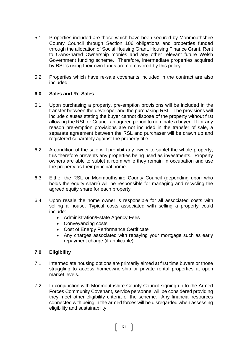- 5.1 Properties included are those which have been secured by Monmouthshire County Council through Section 106 obligations and properties funded through the allocation of Social Housing Grant, Housing Finance Grant, Rent to Own/Shared Ownership monies and any other relevant future Welsh Government funding scheme. Therefore, intermediate properties acquired by RSL's using their own funds are not covered by this policy.
- 5.2 Properties which have re-sale covenants included in the contract are also included.

#### **6.0 Sales and Re-Sales**

- 6.1 Upon purchasing a property, pre-emption provisions will be included in the transfer between the developer and the purchasing RSL. The provisions will include clauses stating the buyer cannot dispose of the property without first allowing the RSL or Council an agreed period to nominate a buyer. If for any reason pre-emption provisions are not included in the transfer of sale, a separate agreement between the RSL and purchaser will be drawn up and registered separately against the property title.
- 6.2 A condition of the sale will prohibit any owner to sublet the whole property; this therefore prevents any properties being used as investments. Property owners are able to sublet a room while they remain in occupation and use the property as their principal home.
- 6.3 Either the RSL or Monmouthshire County Council (depending upon who holds the equity share) will be responsible for managing and recycling the agreed equity share for each property.
- 6.4 Upon resale the home owner is responsible for all associated costs with selling a house. Typical costs associated with selling a property could include:
	- Administration/Estate Agency Fees
	- Conveyancing costs
	- Cost of Energy Performance Certificate
	- Any charges associated with repaying your mortgage such as early repayment charge (if applicable)

# **7.0 Eligibility**

- 7.1 Intermediate housing options are primarily aimed at first time buyers or those struggling to access homeownership or private rental properties at open market levels.
- 7.2 In conjunction with Monmouthshire County Council signing up to the Armed Forces Community Covenant, service personnel will be considered providing they meet other eligibility criteria of the scheme. Any financial resources connected with being in the armed forces will be disregarded when assessing eligibility and sustainability.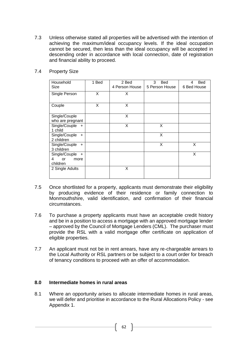7.3 Unless otherwise stated all properties will be advertised with the intention of achieving the maximum/ideal occupancy levels. If the ideal occupation cannot be secured, then less than the ideal occupancy will be accepted in descending order in accordance with local connection, date of registration and financial ability to proceed.

| Household<br>Size                                          | 1 Bed | 2 Bed<br>4 Person House | 3<br><b>Bed</b><br>5 Person House | <b>Bed</b><br>4<br>6 Bed House |
|------------------------------------------------------------|-------|-------------------------|-----------------------------------|--------------------------------|
| Single Person                                              | X     | X                       |                                   |                                |
| Couple                                                     | X     | X                       |                                   |                                |
| Single/Couple                                              |       | X                       |                                   |                                |
| who are pregnant                                           |       |                         |                                   |                                |
| Single/Couple<br>$+$<br>1 child                            |       | X                       | X                                 |                                |
| Single/Couple +<br>2 children                              |       |                         | X                                 |                                |
| Single/Couple<br>$\ddot{}$<br>3 children                   |       |                         | X                                 | X                              |
| Single/Couple<br>$+$<br>4<br><b>or</b><br>more<br>children |       |                         |                                   | X                              |
| 2 Single Adults                                            |       | X                       |                                   |                                |

7.4 Property Size

- 7.5 Once shortlisted for a property, applicants must demonstrate their eligibility by producing evidence of their residence or family connection to Monmouthshire, valid identification, and confirmation of their financial circumstances.
- 7.6 To purchase a property applicants must have an acceptable credit history and be in a position to access a mortgage with an approved mortgage lender – approved by the Council of Mortgage Lenders (CML). The purchaser must provide the RSL with a valid mortgage offer certificate on application of eligible properties.
- 7.7 An applicant must not be in rent arrears, have any re-chargeable arrears to the Local Authority or RSL partners or be subject to a court order for breach of tenancy conditions to proceed with an offer of accommodation.

#### **8.0 Intermediate homes in rural areas**

8.1 Where an opportunity arises to allocate intermediate homes in rural areas, we will defer and prioritise in accordance to the Rural Allocations Policy - see Appendix 1.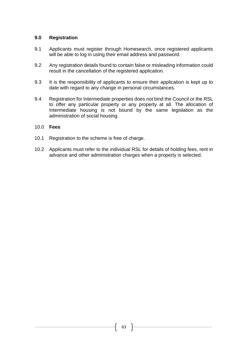#### **9.0 Registration**

- 9.1 Applicants must register through Homesearch, once registered applicants will be able to log in using their email address and password.
- 9.2 Any registration details found to contain false or misleading information could result in the cancellation of the registered application.
- 9.3 It is the responsibility of applicants to ensure their application is kept up to date with regard to any change in personal circumstances.
- 9.4 Registration for Intermediate properties does not bind the Council or the RSL to offer any particular property or any property at all. The allocation of Intermediate housing is not bound by the same legislation as the administration of social housing.

#### 10.0 **Fees**

- 10.1 Registration to the scheme is free of charge.
- 10.2 Applicants must refer to the individual RSL for details of holding fees, rent in advance and other administration charges when a property is selected.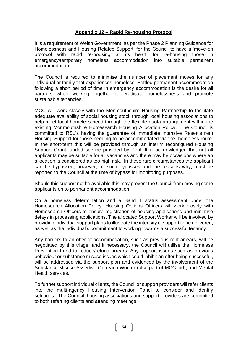# **Appendix 12 – Rapid Re-housing Protocol**

It is a requirement of Welsh Government, as per the Phase 2 Planning Guidance for Homelessness and Housing Related Support, for the Council to have a 'move-on protocol with rapid re-housing at its heart' for re-housing those in emergency/temporary homeless accommodation into suitable permanent accommodation.

The Council is required to minimise the number of placement moves for any individual or family that experiences homeless. Settled permanent accommodation following a short period of time in emergency accommodation is the desire for all partners when working together to eradicate homelessness and promote sustainable tenancies.

MCC will work closely with the Monmouthshire Housing Partnership to facilitate adequate availability of social housing stock through local housing associations to help meet local homeless need through the flexible quota arrangement within the existing Monmouthshire Homesearch Housing Allocation Policy. The Council is committed to RSL's having the guarantee of immediate Intensive Resettlement Housing Support for those needing to be accommodated via the homeless route. In the short-term this will be provided through an interim reconfigured Housing Support Grant funded service provided by Pobl. It is acknowledged that not all applicants may be suitable for all vacancies and there may be occasions where an allocation is considered as too high risk. In these rare circumstances the applicant can be bypassed, however, all such bypasses and the reasons why, must be reported to the Council at the time of bypass for monitoring purposes.

Should this support not be available this may prevent the Council from moving some applicants on to permanent accommodation.

On a homeless determination and a Band 1 status assessment under the Homesearch Allocation Policy, Housing Options Officers will work closely with Homesearch Officers to ensure registration of housing applications and minimise delays in processing applications. The allocated Support Worker will be involved by providing individual support plans to illustrate the intensity of support to be delivered, as well as the individual's commitment to working towards a successful tenancy.

Any barriers to an offer of accommodation, such as previous rent arrears, will be negotiated by this triage, and if necessary, the Council will utilise the Homeless Prevention Fund to reduce/refund arrears. Any support issues such as previous behaviour or substance misuse issues which could inhibit an offer being successful, will be addressed via the support plan and evidenced by the involvement of the Substance Misuse Assertive Outreach Worker (also part of MCC bid), and Mental Health services.

To further support individual clients, the Council or support providers will refer clients into the multi-agency Housing Intervention Panel to consider and identify solutions. The Council, housing associations and support providers are committed to both referring clients and attending meetings.